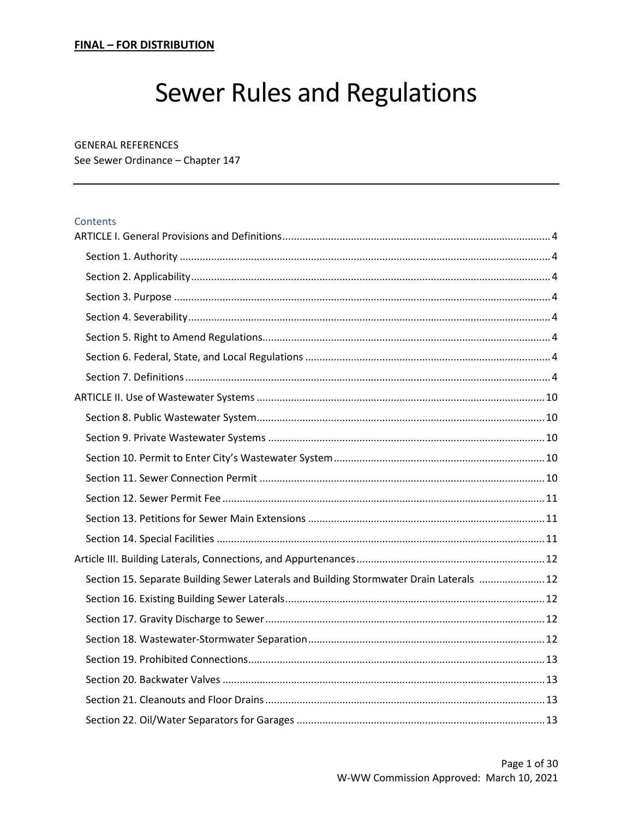# **Sewer Rules and Regulations**

#### **GENERAL REFERENCES**

See Sewer Ordinance - Chapter 147

#### Contents

| Section 15. Separate Building Sewer Laterals and Building Stormwater Drain Laterals  12 |  |
|-----------------------------------------------------------------------------------------|--|
|                                                                                         |  |
|                                                                                         |  |
|                                                                                         |  |
|                                                                                         |  |
|                                                                                         |  |
|                                                                                         |  |
|                                                                                         |  |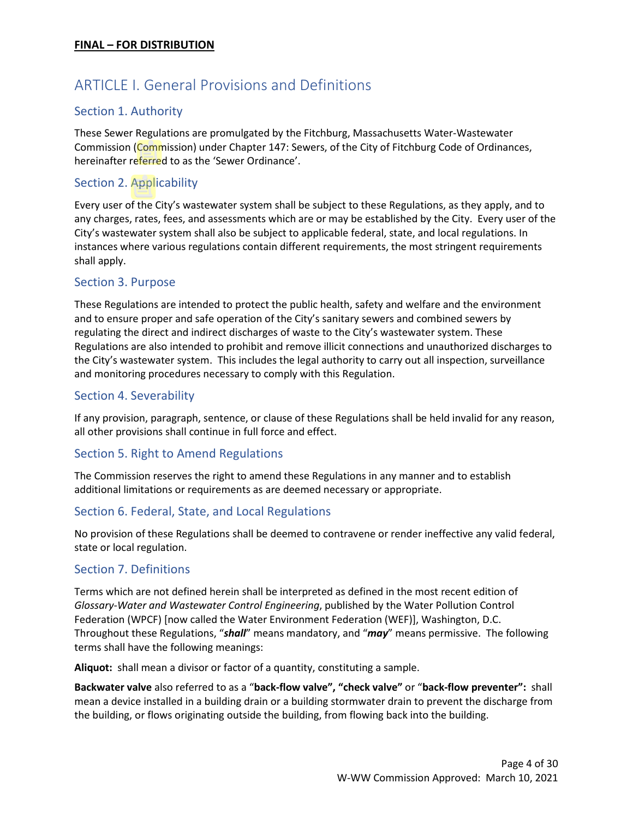# <span id="page-3-0"></span>ARTICLE I. General Provisions and Definitions

# <span id="page-3-1"></span>Section 1. Authority

These Sewer Regulations are promulgated by the Fitchburg, Massachusetts Water-Wastewater Commission (Commission) under Chapter 147: Sewers, of the City of Fitchburg Code of Ordinances, hereinafter referred to as the 'Sewer Ordinance'.

# <span id="page-3-2"></span>Section 2. Applicability

Every user of the City's wastewater system shall be subject to these Regulations, as they apply, and to any charges, rates, fees, and assessments which are or may be established by the City. Every user of the City's wastewater system shall also be subject to applicable federal, state, and local regulations. In instances where various regulations contain different requirements, the most stringent requirements shall apply.

# <span id="page-3-3"></span>Section 3. Purpose

These Regulations are intended to protect the public health, safety and welfare and the environment and to ensure proper and safe operation of the City's sanitary sewers and combined sewers by regulating the direct and indirect discharges of waste to the City's wastewater system. These Regulations are also intended to prohibit and remove illicit connections and unauthorized discharges to the City's wastewater system. This includes the legal authority to carry out all inspection, surveillance and monitoring procedures necessary to comply with this Regulation.

# <span id="page-3-4"></span>Section 4. Severability

If any provision, paragraph, sentence, or clause of these Regulations shall be held invalid for any reason, all other provisions shall continue in full force and effect.

# <span id="page-3-5"></span>Section 5. Right to Amend Regulations

The Commission reserves the right to amend these Regulations in any manner and to establish additional limitations or requirements as are deemed necessary or appropriate.

#### <span id="page-3-6"></span>Section 6. Federal, State, and Local Regulations

No provision of these Regulations shall be deemed to contravene or render ineffective any valid federal, state or local regulation.

#### <span id="page-3-7"></span>Section 7. Definitions

Terms which are not defined herein shall be interpreted as defined in the most recent edition of *Glossary-Water and Wastewater Control Engineering*, published by the Water Pollution Control Federation (WPCF) [now called the Water Environment Federation (WEF)], Washington, D.C. Throughout these Regulations, "*shall*" means mandatory, and "*may*" means permissive. The following terms shall have the following meanings:

**Aliquot:** shall mean a divisor or factor of a quantity, constituting a sample.

**Backwater valve** also referred to as a "**back-flow valve", "check valve"** or "**back-flow preventer":** shall mean a device installed in a building drain or a building stormwater drain to prevent the discharge from the building, or flows originating outside the building, from flowing back into the building.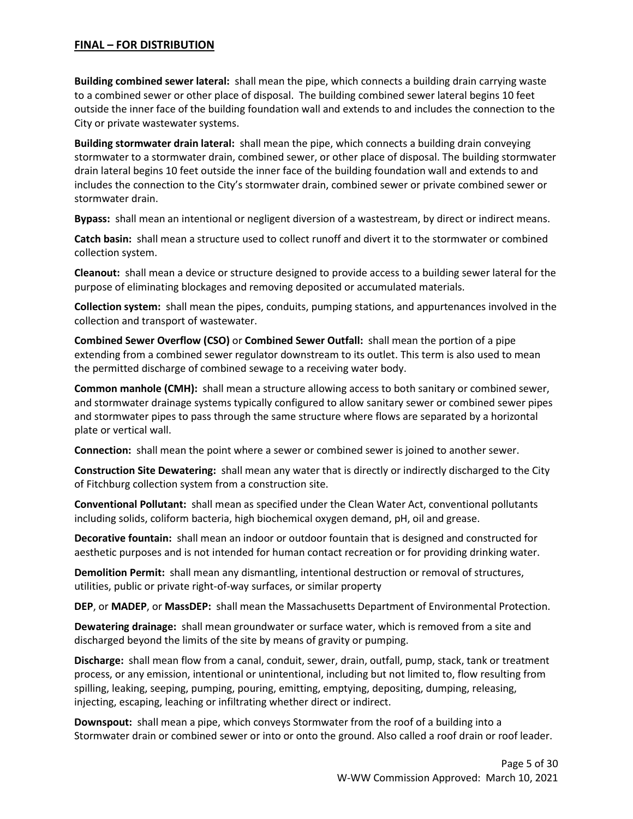**Building combined sewer lateral:** shall mean the pipe, which connects a building drain carrying waste to a combined sewer or other place of disposal. The building combined sewer lateral begins 10 feet outside the inner face of the building foundation wall and extends to and includes the connection to the City or private wastewater systems.

**Building stormwater drain lateral:** shall mean the pipe, which connects a building drain conveying stormwater to a stormwater drain, combined sewer, or other place of disposal. The building stormwater drain lateral begins 10 feet outside the inner face of the building foundation wall and extends to and includes the connection to the City's stormwater drain, combined sewer or private combined sewer or stormwater drain.

**Bypass:** shall mean an intentional or negligent diversion of a wastestream, by direct or indirect means.

**Catch basin:** shall mean a structure used to collect runoff and divert it to the stormwater or combined collection system.

**Cleanout:** shall mean a device or structure designed to provide access to a building sewer lateral for the purpose of eliminating blockages and removing deposited or accumulated materials.

**Collection system:** shall mean the pipes, conduits, pumping stations, and appurtenances involved in the collection and transport of wastewater.

**Combined Sewer Overflow (CSO)** or **Combined Sewer Outfall:** shall mean the portion of a pipe extending from a combined sewer regulator downstream to its outlet. This term is also used to mean the permitted discharge of combined sewage to a receiving water body.

**Common manhole (CMH):** shall mean a structure allowing access to both sanitary or combined sewer, and stormwater drainage systems typically configured to allow sanitary sewer or combined sewer pipes and stormwater pipes to pass through the same structure where flows are separated by a horizontal plate or vertical wall.

**Connection:** shall mean the point where a sewer or combined sewer is joined to another sewer.

**Construction Site Dewatering:** shall mean any water that is directly or indirectly discharged to the City of Fitchburg collection system from a construction site.

**Conventional Pollutant:** shall mean as specified under the Clean Water Act, conventional pollutants including solids, coliform bacteria, high biochemical oxygen demand, pH, oil and grease.

**Decorative fountain:** shall mean an indoor or outdoor fountain that is designed and constructed for aesthetic purposes and is not intended for human contact recreation or for providing drinking water.

**Demolition Permit:** shall mean any dismantling, intentional destruction or removal of structures, utilities, public or private right-of-way surfaces, or similar property

**DEP**, or **MADEP**, or **MassDEP:** shall mean the Massachusetts Department of Environmental Protection.

**Dewatering drainage:** shall mean groundwater or surface water, which is removed from a site and discharged beyond the limits of the site by means of gravity or pumping.

**Discharge:** shall mean flow from a canal, conduit, sewer, drain, outfall, pump, stack, tank or treatment process, or any emission, intentional or unintentional, including but not limited to, flow resulting from spilling, leaking, seeping, pumping, pouring, emitting, emptying, depositing, dumping, releasing, injecting, escaping, leaching or infiltrating whether direct or indirect.

**Downspout:** shall mean a pipe, which conveys Stormwater from the roof of a building into a Stormwater drain or combined sewer or into or onto the ground. Also called a roof drain or roof leader.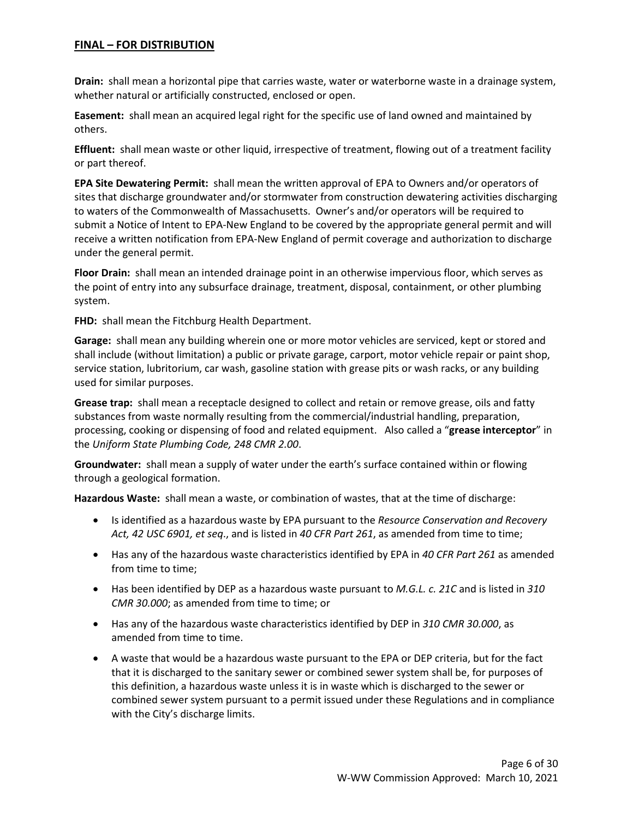**Drain:** shall mean a horizontal pipe that carries waste, water or waterborne waste in a drainage system, whether natural or artificially constructed, enclosed or open.

**Easement:** shall mean an acquired legal right for the specific use of land owned and maintained by others.

**Effluent:** shall mean waste or other liquid, irrespective of treatment, flowing out of a treatment facility or part thereof.

**EPA Site Dewatering Permit:** shall mean the written approval of EPA to Owners and/or operators of sites that discharge groundwater and/or stormwater from construction dewatering activities discharging to waters of the Commonwealth of Massachusetts. Owner's and/or operators will be required to submit a Notice of Intent to EPA-New England to be covered by the appropriate general permit and will receive a written notification from EPA-New England of permit coverage and authorization to discharge under the general permit.

**Floor Drain:** shall mean an intended drainage point in an otherwise impervious floor, which serves as the point of entry into any subsurface drainage, treatment, disposal, containment, or other plumbing system.

**FHD:** shall mean the Fitchburg Health Department.

**Garage:** shall mean any building wherein one or more motor vehicles are serviced, kept or stored and shall include (without limitation) a public or private garage, carport, motor vehicle repair or paint shop, service station, lubritorium, car wash, gasoline station with grease pits or wash racks, or any building used for similar purposes.

**Grease trap:** shall mean a receptacle designed to collect and retain or remove grease, oils and fatty substances from waste normally resulting from the commercial/industrial handling, preparation, processing, cooking or dispensing of food and related equipment. Also called a "**grease interceptor**" in the *Uniform State Plumbing Code, 248 CMR 2.00*.

**Groundwater:** shall mean a supply of water under the earth's surface contained within or flowing through a geological formation.

**Hazardous Waste:** shall mean a waste, or combination of wastes, that at the time of discharge:

- Is identified as a hazardous waste by EPA pursuant to the *Resource Conservation and Recovery Act, 42 USC 6901, et seq*., and is listed in *40 CFR Part 261*, as amended from time to time;
- Has any of the hazardous waste characteristics identified by EPA in *40 CFR Part 261* as amended from time to time;
- Has been identified by DEP as a hazardous waste pursuant to *M.G.L. c. 21C* and is listed in *310 CMR 30.000*; as amended from time to time; or
- Has any of the hazardous waste characteristics identified by DEP in *310 CMR 30.000*, as amended from time to time.
- A waste that would be a hazardous waste pursuant to the EPA or DEP criteria, but for the fact that it is discharged to the sanitary sewer or combined sewer system shall be, for purposes of this definition, a hazardous waste unless it is in waste which is discharged to the sewer or combined sewer system pursuant to a permit issued under these Regulations and in compliance with the City's discharge limits.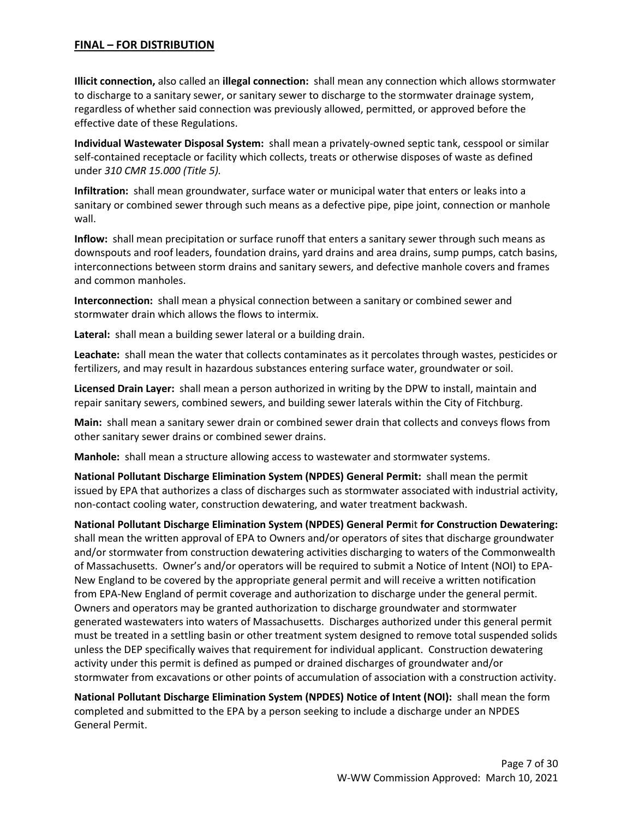**Illicit connection,** also called an **illegal connection:** shall mean any connection which allows stormwater to discharge to a sanitary sewer, or sanitary sewer to discharge to the stormwater drainage system, regardless of whether said connection was previously allowed, permitted, or approved before the effective date of these Regulations.

**Individual Wastewater Disposal System:** shall mean a privately-owned septic tank, cesspool or similar self-contained receptacle or facility which collects, treats or otherwise disposes of waste as defined under *310 CMR 15.000 (Title 5).*

**Infiltration:** shall mean groundwater, surface water or municipal water that enters or leaks into a sanitary or combined sewer through such means as a defective pipe, pipe joint, connection or manhole wall.

**Inflow:** shall mean precipitation or surface runoff that enters a sanitary sewer through such means as downspouts and roof leaders, foundation drains, yard drains and area drains, sump pumps, catch basins, interconnections between storm drains and sanitary sewers, and defective manhole covers and frames and common manholes.

**Interconnection:** shall mean a physical connection between a sanitary or combined sewer and stormwater drain which allows the flows to intermix.

**Lateral:** shall mean a building sewer lateral or a building drain.

**Leachate:** shall mean the water that collects contaminates as it percolates through wastes, pesticides or fertilizers, and may result in hazardous substances entering surface water, groundwater or soil.

**Licensed Drain Layer:** shall mean a person authorized in writing by the DPW to install, maintain and repair sanitary sewers, combined sewers, and building sewer laterals within the City of Fitchburg.

**Main:** shall mean a sanitary sewer drain or combined sewer drain that collects and conveys flows from other sanitary sewer drains or combined sewer drains.

**Manhole:** shall mean a structure allowing access to wastewater and stormwater systems.

**National Pollutant Discharge Elimination System (NPDES) General Permit:** shall mean the permit issued by EPA that authorizes a class of discharges such as stormwater associated with industrial activity, non-contact cooling water, construction dewatering, and water treatment backwash.

**National Pollutant Discharge Elimination System (NPDES) General Perm**it **for Construction Dewatering:**  shall mean the written approval of EPA to Owners and/or operators of sites that discharge groundwater and/or stormwater from construction dewatering activities discharging to waters of the Commonwealth of Massachusetts. Owner's and/or operators will be required to submit a Notice of Intent (NOI) to EPA-New England to be covered by the appropriate general permit and will receive a written notification from EPA-New England of permit coverage and authorization to discharge under the general permit. Owners and operators may be granted authorization to discharge groundwater and stormwater generated wastewaters into waters of Massachusetts. Discharges authorized under this general permit must be treated in a settling basin or other treatment system designed to remove total suspended solids unless the DEP specifically waives that requirement for individual applicant. Construction dewatering activity under this permit is defined as pumped or drained discharges of groundwater and/or stormwater from excavations or other points of accumulation of association with a construction activity.

**National Pollutant Discharge Elimination System (NPDES) Notice of Intent (NOI):** shall mean the form completed and submitted to the EPA by a person seeking to include a discharge under an NPDES General Permit.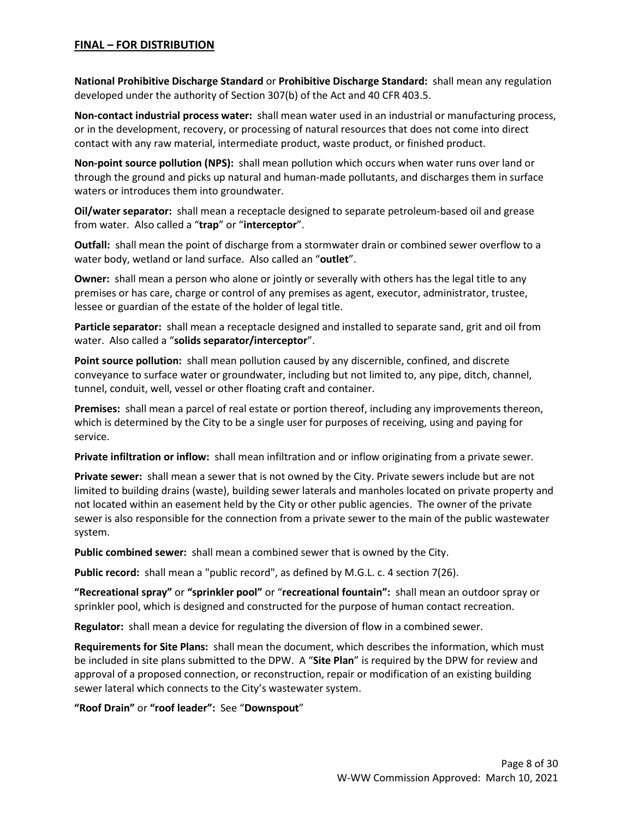**National Prohibitive Discharge Standard** or **Prohibitive Discharge Standard:** shall mean any regulation developed under the authority of Section 307(b) of the Act and 40 CFR 403.5.

**Non-contact industrial process water:** shall mean water used in an industrial or manufacturing process, or in the development, recovery, or processing of natural resources that does not come into direct contact with any raw material, intermediate product, waste product, or finished product.

**Non-point source pollution (NPS):** shall mean pollution which occurs when water runs over land or through the ground and picks up natural and human-made pollutants, and discharges them in surface waters or introduces them into groundwater.

**Oil/water separator:** shall mean a receptacle designed to separate petroleum-based oil and grease from water. Also called a "**trap**" or "**interceptor**".

**Outfall:** shall mean the point of discharge from a stormwater drain or combined sewer overflow to a water body, wetland or land surface. Also called an "**outlet**".

**Owner:** shall mean a person who alone or jointly or severally with others has the legal title to any premises or has care, charge or control of any premises as agent, executor, administrator, trustee, lessee or guardian of the estate of the holder of legal title.

**Particle separator:** shall mean a receptacle designed and installed to separate sand, grit and oil from water. Also called a "**solids separator/interceptor**".

**Point source pollution:** shall mean pollution caused by any discernible, confined, and discrete conveyance to surface water or groundwater, including but not limited to, any pipe, ditch, channel, tunnel, conduit, well, vessel or other floating craft and container.

**Premises:** shall mean a parcel of real estate or portion thereof, including any improvements thereon, which is determined by the City to be a single user for purposes of receiving, using and paying for service.

**Private infiltration or inflow:** shall mean infiltration and or inflow originating from a private sewer.

**Private sewer:** shall mean a sewer that is not owned by the City. Private sewers include but are not limited to building drains (waste), building sewer laterals and manholes located on private property and not located within an easement held by the City or other public agencies. The owner of the private sewer is also responsible for the connection from a private sewer to the main of the public wastewater system.

**Public combined sewer:** shall mean a combined sewer that is owned by the City.

**Public record:** shall mean a "public record", as defined by M.G.L. c. 4 section 7(26).

**"Recreational spray"** or **"sprinkler pool"** or "**recreational fountain":** shall mean an outdoor spray or sprinkler pool, which is designed and constructed for the purpose of human contact recreation.

**Regulator:** shall mean a device for regulating the diversion of flow in a combined sewer.

**Requirements for Site Plans:** shall mean the document, which describes the information, which must be included in site plans submitted to the DPW. A "**Site Plan**" is required by the DPW for review and approval of a proposed connection, or reconstruction, repair or modification of an existing building sewer lateral which connects to the City's wastewater system.

**"Roof Drain"** or **"roof leader":** See "**Downspout**"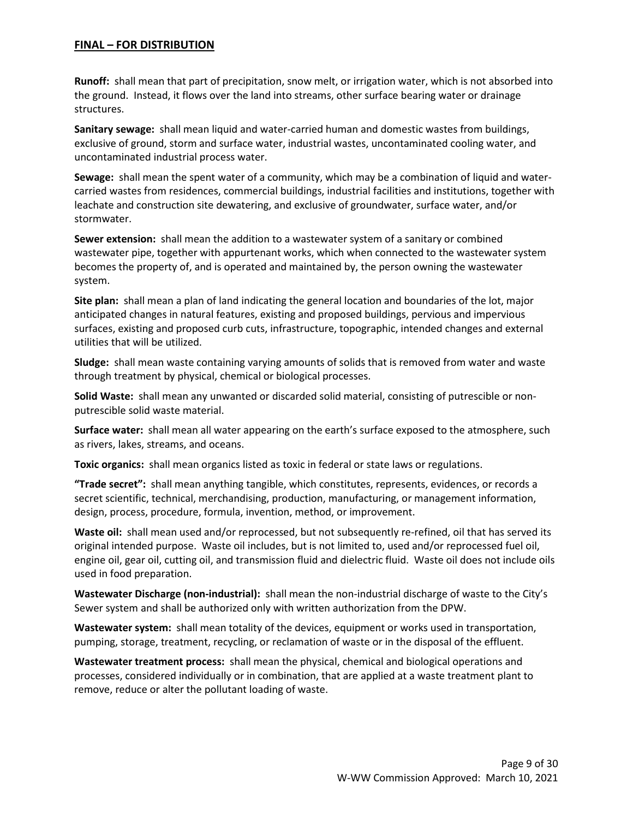**Runoff:** shall mean that part of precipitation, snow melt, or irrigation water, which is not absorbed into the ground. Instead, it flows over the land into streams, other surface bearing water or drainage structures.

**Sanitary sewage:** shall mean liquid and water-carried human and domestic wastes from buildings, exclusive of ground, storm and surface water, industrial wastes, uncontaminated cooling water, and uncontaminated industrial process water.

**Sewage:** shall mean the spent water of a community, which may be a combination of liquid and watercarried wastes from residences, commercial buildings, industrial facilities and institutions, together with leachate and construction site dewatering, and exclusive of groundwater, surface water, and/or stormwater.

**Sewer extension:** shall mean the addition to a wastewater system of a sanitary or combined wastewater pipe, together with appurtenant works, which when connected to the wastewater system becomes the property of, and is operated and maintained by, the person owning the wastewater system.

**Site plan:** shall mean a plan of land indicating the general location and boundaries of the lot, major anticipated changes in natural features, existing and proposed buildings, pervious and impervious surfaces, existing and proposed curb cuts, infrastructure, topographic, intended changes and external utilities that will be utilized.

**Sludge:** shall mean waste containing varying amounts of solids that is removed from water and waste through treatment by physical, chemical or biological processes.

**Solid Waste:** shall mean any unwanted or discarded solid material, consisting of putrescible or nonputrescible solid waste material.

**Surface water:** shall mean all water appearing on the earth's surface exposed to the atmosphere, such as rivers, lakes, streams, and oceans.

**Toxic organics:** shall mean organics listed as toxic in federal or state laws or regulations.

**"Trade secret":** shall mean anything tangible, which constitutes, represents, evidences, or records a secret scientific, technical, merchandising, production, manufacturing, or management information, design, process, procedure, formula, invention, method, or improvement.

**Waste oil:** shall mean used and/or reprocessed, but not subsequently re-refined, oil that has served its original intended purpose. Waste oil includes, but is not limited to, used and/or reprocessed fuel oil, engine oil, gear oil, cutting oil, and transmission fluid and dielectric fluid. Waste oil does not include oils used in food preparation.

**Wastewater Discharge (non-industrial):** shall mean the non-industrial discharge of waste to the City's Sewer system and shall be authorized only with written authorization from the DPW.

**Wastewater system:** shall mean totality of the devices, equipment or works used in transportation, pumping, storage, treatment, recycling, or reclamation of waste or in the disposal of the effluent.

**Wastewater treatment process:** shall mean the physical, chemical and biological operations and processes, considered individually or in combination, that are applied at a waste treatment plant to remove, reduce or alter the pollutant loading of waste.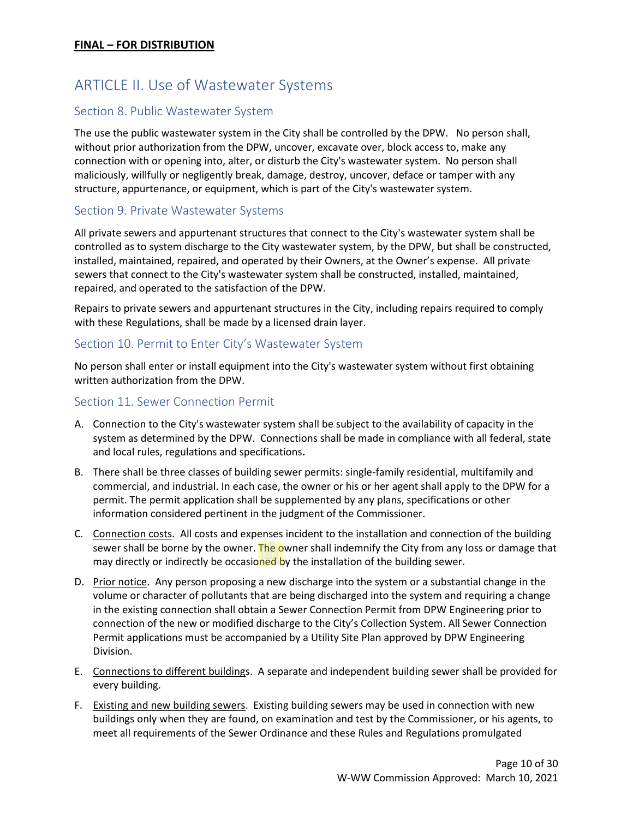# <span id="page-9-0"></span>ARTICLE II. Use of Wastewater Systems

# <span id="page-9-1"></span>Section 8. Public Wastewater System

The use the public wastewater system in the City shall be controlled by the DPW. No person shall, without prior authorization from the DPW, uncover, excavate over, block access to, make any connection with or opening into, alter, or disturb the City's wastewater system. No person shall maliciously, willfully or negligently break, damage, destroy, uncover, deface or tamper with any structure, appurtenance, or equipment, which is part of the City's wastewater system.

#### <span id="page-9-2"></span>Section 9. Private Wastewater Systems

All private sewers and appurtenant structures that connect to the City's wastewater system shall be controlled as to system discharge to the City wastewater system, by the DPW, but shall be constructed, installed, maintained, repaired, and operated by their Owners, at the Owner's expense. All private sewers that connect to the City's wastewater system shall be constructed, installed, maintained, repaired, and operated to the satisfaction of the DPW.

Repairs to private sewers and appurtenant structures in the City, including repairs required to comply with these Regulations, shall be made by a licensed drain layer.

#### <span id="page-9-3"></span>Section 10. Permit to Enter City's Wastewater System

No person shall enter or install equipment into the City's wastewater system without first obtaining written authorization from the DPW.

#### <span id="page-9-4"></span>Section 11. Sewer Connection Permit

- A. Connection to the City's wastewater system shall be subject to the availability of capacity in the system as determined by the DPW. Connections shall be made in compliance with all federal, state and local rules, regulations and specifications**.**
- B. There shall be three classes of building sewer permits: single-family residential, multifamily and commercial, and industrial. In each case, the owner or his or her agent shall apply to the DPW for a permit. The permit application shall be supplemented by any plans, specifications or other information considered pertinent in the judgment of the Commissioner.
- C. Connection costs. All costs and expenses incident to the installation and connection of the building sewer shall be borne by the owner. The owner shall indemnify the City from any loss or damage that may directly or indirectly be occasioned by the installation of the building sewer.
- D. Prior notice. Any person proposing a new discharge into the system or a substantial change in the volume or character of pollutants that are being discharged into the system and requiring a change in the existing connection shall obtain a Sewer Connection Permit from DPW Engineering prior to connection of the new or modified discharge to the City's Collection System. All Sewer Connection Permit applications must be accompanied by a Utility Site Plan approved by DPW Engineering Division.
- E. Connections to different buildings. A separate and independent building sewer shall be provided for every building.
- F. Existing and new building sewers. Existing building sewers may be used in connection with new buildings only when they are found, on examination and test by the Commissioner, or his agents, to meet all requirements of the Sewer Ordinance and these Rules and Regulations promulgated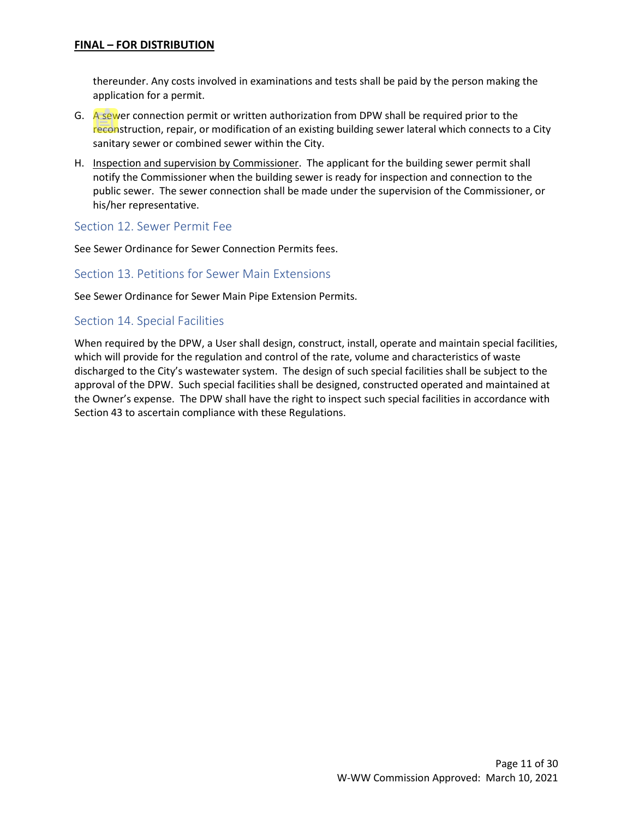thereunder. Any costs involved in examinations and tests shall be paid by the person making the application for a permit.

- G. A sewer connection permit or written authorization from DPW shall be required prior to the reconstruction, repair, or modification of an existing building sewer lateral which connects to a City sanitary sewer or combined sewer within the City.
- H. Inspection and supervision by Commissioner. The applicant for the building sewer permit shall notify the Commissioner when the building sewer is ready for inspection and connection to the public sewer. The sewer connection shall be made under the supervision of the Commissioner, or his/her representative.

#### <span id="page-10-0"></span>Section 12. Sewer Permit Fee

See Sewer Ordinance for Sewer Connection Permits fees.

#### <span id="page-10-1"></span>Section 13. Petitions for Sewer Main Extensions

See Sewer Ordinance for Sewer Main Pipe Extension Permits.

#### <span id="page-10-2"></span>Section 14. Special Facilities

When required by the DPW, a User shall design, construct, install, operate and maintain special facilities, which will provide for the regulation and control of the rate, volume and characteristics of waste discharged to the City's wastewater system. The design of such special facilities shall be subject to the approval of the DPW. Such special facilities shall be designed, constructed operated and maintained at the Owner's expense. The DPW shall have the right to inspect such special facilities in accordance with Section 43 to ascertain compliance with these Regulations.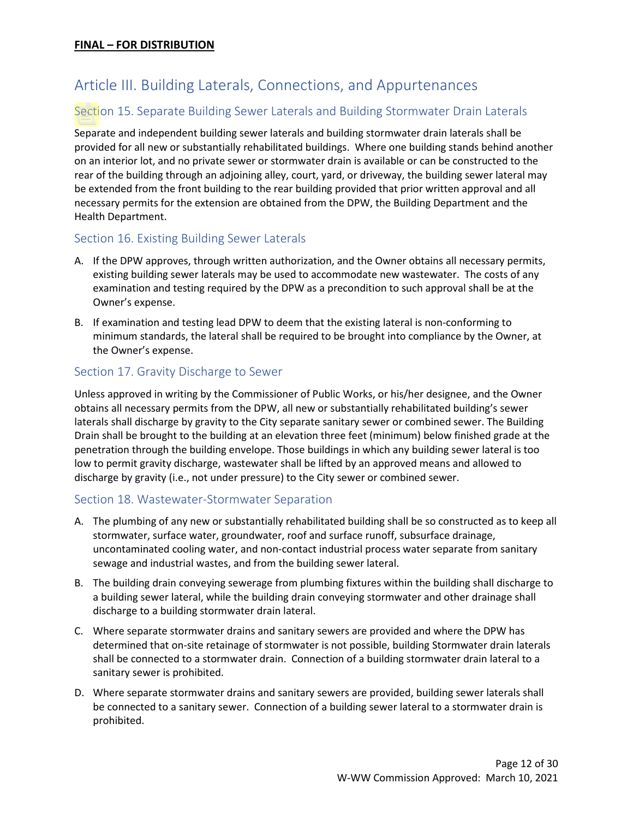# <span id="page-11-0"></span>Article III. Building Laterals, Connections, and Appurtenances

# <span id="page-11-1"></span>Section 15. Separate Building Sewer Laterals and Building Stormwater Drain Laterals

Separate and independent building sewer laterals and building stormwater drain laterals shall be provided for all new or substantially rehabilitated buildings. Where one building stands behind another on an interior lot, and no private sewer or stormwater drain is available or can be constructed to the rear of the building through an adjoining alley, court, yard, or driveway, the building sewer lateral may be extended from the front building to the rear building provided that prior written approval and all necessary permits for the extension are obtained from the DPW, the Building Department and the Health Department.

#### <span id="page-11-2"></span>Section 16. Existing Building Sewer Laterals

- A. If the DPW approves, through written authorization, and the Owner obtains all necessary permits, existing building sewer laterals may be used to accommodate new wastewater. The costs of any examination and testing required by the DPW as a precondition to such approval shall be at the Owner's expense.
- B. If examination and testing lead DPW to deem that the existing lateral is non-conforming to minimum standards, the lateral shall be required to be brought into compliance by the Owner, at the Owner's expense.

#### <span id="page-11-3"></span>Section 17. Gravity Discharge to Sewer

Unless approved in writing by the Commissioner of Public Works, or his/her designee, and the Owner obtains all necessary permits from the DPW, all new or substantially rehabilitated building's sewer laterals shall discharge by gravity to the City separate sanitary sewer or combined sewer. The Building Drain shall be brought to the building at an elevation three feet (minimum) below finished grade at the penetration through the building envelope. Those buildings in which any building sewer lateral is too low to permit gravity discharge, wastewater shall be lifted by an approved means and allowed to discharge by gravity (i.e., not under pressure) to the City sewer or combined sewer.

#### <span id="page-11-4"></span>Section 18. Wastewater-Stormwater Separation

- A. The plumbing of any new or substantially rehabilitated building shall be so constructed as to keep all stormwater, surface water, groundwater, roof and surface runoff, subsurface drainage, uncontaminated cooling water, and non-contact industrial process water separate from sanitary sewage and industrial wastes, and from the building sewer lateral.
- B. The building drain conveying sewerage from plumbing fixtures within the building shall discharge to a building sewer lateral, while the building drain conveying stormwater and other drainage shall discharge to a building stormwater drain lateral.
- C. Where separate stormwater drains and sanitary sewers are provided and where the DPW has determined that on-site retainage of stormwater is not possible, building Stormwater drain laterals shall be connected to a stormwater drain. Connection of a building stormwater drain lateral to a sanitary sewer is prohibited.
- D. Where separate stormwater drains and sanitary sewers are provided, building sewer laterals shall be connected to a sanitary sewer. Connection of a building sewer lateral to a stormwater drain is prohibited.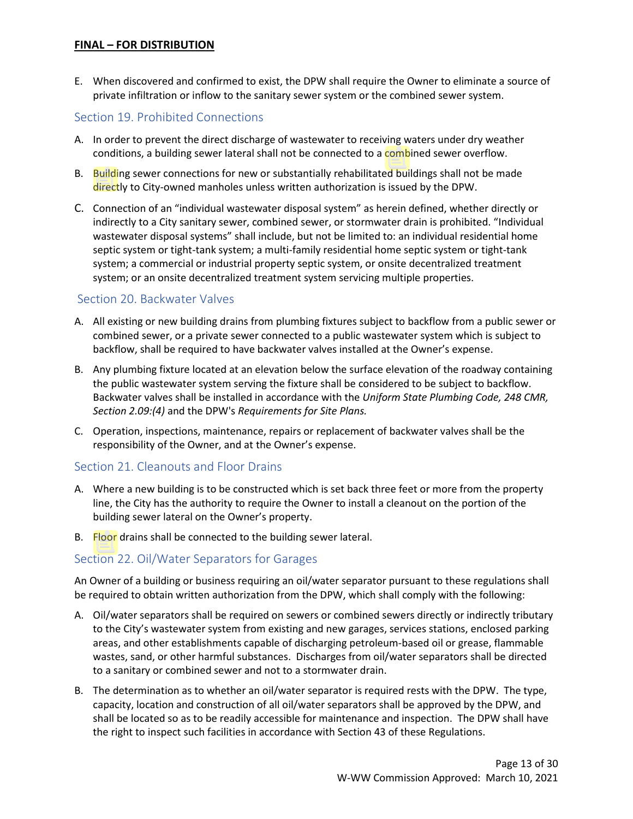E. When discovered and confirmed to exist, the DPW shall require the Owner to eliminate a source of private infiltration or inflow to the sanitary sewer system or the combined sewer system.

#### <span id="page-12-0"></span>Section 19. Prohibited Connections

- A. In order to prevent the direct discharge of wastewater to receiving waters under dry weather conditions, a building sewer lateral shall not be connected to a combined sewer overflow.
- B. Building sewer connections for new or substantially rehabilitated buildings shall not be made directly to City-owned manholes unless written authorization is issued by the DPW.
- C. Connection of an "individual wastewater disposal system" as herein defined, whether directly or indirectly to a City sanitary sewer, combined sewer, or stormwater drain is prohibited. "Individual wastewater disposal systems" shall include, but not be limited to: an individual residential home septic system or tight-tank system; a multi-family residential home septic system or tight-tank system; a commercial or industrial property septic system, or onsite decentralized treatment system; or an onsite decentralized treatment system servicing multiple properties.

#### <span id="page-12-1"></span>Section 20. Backwater Valves

- A. All existing or new building drains from plumbing fixtures subject to backflow from a public sewer or combined sewer, or a private sewer connected to a public wastewater system which is subject to backflow, shall be required to have backwater valves installed at the Owner's expense.
- B. Any plumbing fixture located at an elevation below the surface elevation of the roadway containing the public wastewater system serving the fixture shall be considered to be subject to backflow. Backwater valves shall be installed in accordance with the *Uniform State Plumbing Code, 248 CMR, Section 2.09:(4)* and the DPW's *Requirements for Site Plans.*
- C. Operation, inspections, maintenance, repairs or replacement of backwater valves shall be the responsibility of the Owner, and at the Owner's expense.

#### <span id="page-12-2"></span>Section 21. Cleanouts and Floor Drains

- A. Where a new building is to be constructed which is set back three feet or more from the property line, the City has the authority to require the Owner to install a cleanout on the portion of the building sewer lateral on the Owner's property.
- B. Floor drains shall be connected to the building sewer lateral.

#### <span id="page-12-3"></span>Section 22. Oil/Water Separators for Garages

An Owner of a building or business requiring an oil/water separator pursuant to these regulations shall be required to obtain written authorization from the DPW, which shall comply with the following:

- A. Oil/water separators shall be required on sewers or combined sewers directly or indirectly tributary to the City's wastewater system from existing and new garages, services stations, enclosed parking areas, and other establishments capable of discharging petroleum-based oil or grease, flammable wastes, sand, or other harmful substances. Discharges from oil/water separators shall be directed to a sanitary or combined sewer and not to a stormwater drain.
- B. The determination as to whether an oil/water separator is required rests with the DPW. The type, capacity, location and construction of all oil/water separators shall be approved by the DPW, and shall be located so as to be readily accessible for maintenance and inspection. The DPW shall have the right to inspect such facilities in accordance with Section 43 of these Regulations.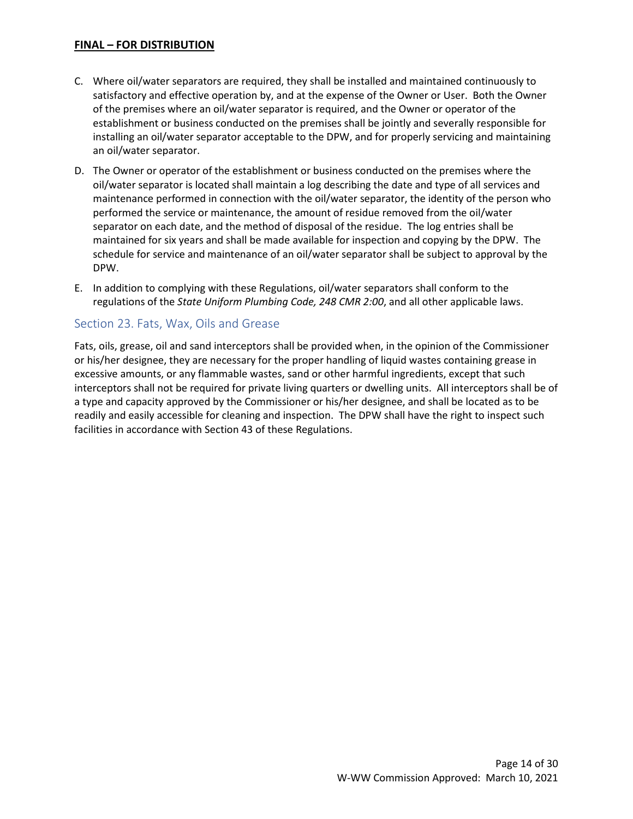- C. Where oil/water separators are required, they shall be installed and maintained continuously to satisfactory and effective operation by, and at the expense of the Owner or User. Both the Owner of the premises where an oil/water separator is required, and the Owner or operator of the establishment or business conducted on the premises shall be jointly and severally responsible for installing an oil/water separator acceptable to the DPW, and for properly servicing and maintaining an oil/water separator.
- D. The Owner or operator of the establishment or business conducted on the premises where the oil/water separator is located shall maintain a log describing the date and type of all services and maintenance performed in connection with the oil/water separator, the identity of the person who performed the service or maintenance, the amount of residue removed from the oil/water separator on each date, and the method of disposal of the residue. The log entries shall be maintained for six years and shall be made available for inspection and copying by the DPW. The schedule for service and maintenance of an oil/water separator shall be subject to approval by the DPW.
- E. In addition to complying with these Regulations, oil/water separators shall conform to the regulations of the *State Uniform Plumbing Code, 248 CMR 2:00*, and all other applicable laws.

#### <span id="page-13-0"></span>Section 23. Fats, Wax, Oils and Grease

Fats, oils, grease, oil and sand interceptors shall be provided when, in the opinion of the Commissioner or his/her designee, they are necessary for the proper handling of liquid wastes containing grease in excessive amounts, or any flammable wastes, sand or other harmful ingredients, except that such interceptors shall not be required for private living quarters or dwelling units. All interceptors shall be of a type and capacity approved by the Commissioner or his/her designee, and shall be located as to be readily and easily accessible for cleaning and inspection. The DPW shall have the right to inspect such facilities in accordance with Section 43 of these Regulations.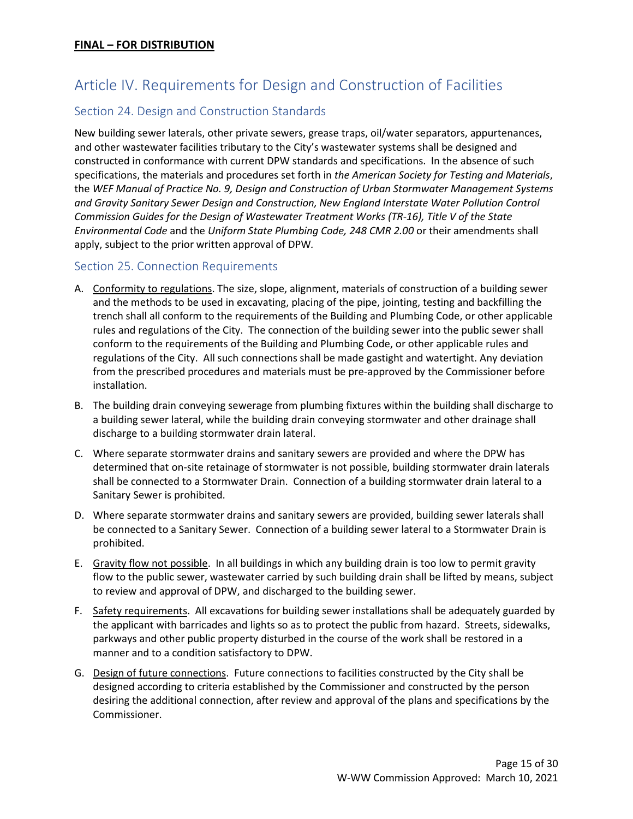# <span id="page-14-0"></span>Article IV. Requirements for Design and Construction of Facilities

# <span id="page-14-1"></span>Section 24. Design and Construction Standards

New building sewer laterals, other private sewers, grease traps, oil/water separators, appurtenances, and other wastewater facilities tributary to the City's wastewater systems shall be designed and constructed in conformance with current DPW standards and specifications. In the absence of such specifications, the materials and procedures set forth in *the American Society for Testing and Materials*, the *WEF Manual of Practice No. 9, Design and Construction of Urban Stormwater Management Systems and Gravity Sanitary Sewer Design and Construction, New England Interstate Water Pollution Control Commission Guides for the Design of Wastewater Treatment Works (TR-16), Title V of the State Environmental Code* and the *Uniform State Plumbing Code, 248 CMR 2.00* or their amendments shall apply, subject to the prior written approval of DPW*.*

# <span id="page-14-2"></span>Section 25. Connection Requirements

- A. Conformity to regulations. The size, slope, alignment, materials of construction of a building sewer and the methods to be used in excavating, placing of the pipe, jointing, testing and backfilling the trench shall all conform to the requirements of the Building and Plumbing Code, or other applicable rules and regulations of the City. The connection of the building sewer into the public sewer shall conform to the requirements of the Building and Plumbing Code, or other applicable rules and regulations of the City. All such connections shall be made gastight and watertight. Any deviation from the prescribed procedures and materials must be pre-approved by the Commissioner before installation.
- B. The building drain conveying sewerage from plumbing fixtures within the building shall discharge to a building sewer lateral, while the building drain conveying stormwater and other drainage shall discharge to a building stormwater drain lateral.
- C. Where separate stormwater drains and sanitary sewers are provided and where the DPW has determined that on-site retainage of stormwater is not possible, building stormwater drain laterals shall be connected to a Stormwater Drain. Connection of a building stormwater drain lateral to a Sanitary Sewer is prohibited.
- D. Where separate stormwater drains and sanitary sewers are provided, building sewer laterals shall be connected to a Sanitary Sewer. Connection of a building sewer lateral to a Stormwater Drain is prohibited.
- E. Gravity flow not possible. In all buildings in which any building drain is too low to permit gravity flow to the public sewer, wastewater carried by such building drain shall be lifted by means, subject to review and approval of DPW, and discharged to the building sewer.
- F. Safety requirements. All excavations for building sewer installations shall be adequately guarded by the applicant with barricades and lights so as to protect the public from hazard. Streets, sidewalks, parkways and other public property disturbed in the course of the work shall be restored in a manner and to a condition satisfactory to DPW.
- G. Design of future connections. Future connections to facilities constructed by the City shall be designed according to criteria established by the Commissioner and constructed by the person desiring the additional connection, after review and approval of the plans and specifications by the Commissioner.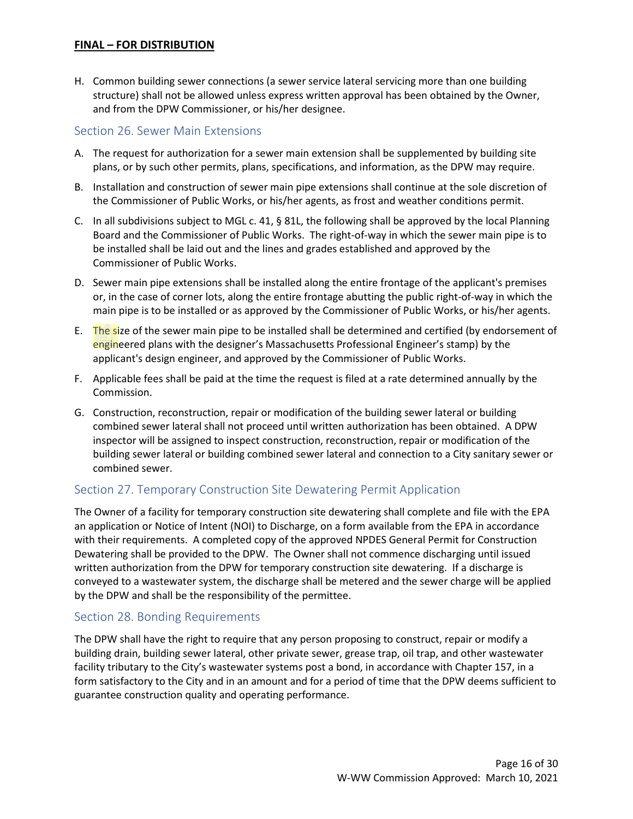H. Common building sewer connections (a sewer service lateral servicing more than one building structure) shall not be allowed unless express written approval has been obtained by the Owner, and from the DPW Commissioner, or his/her designee.

#### <span id="page-15-0"></span>Section 26. Sewer Main Extensions

- A. The request for authorization for a sewer main extension shall be supplemented by building site plans, or by such other permits, plans, specifications, and information, as the DPW may require.
- B. Installation and construction of sewer main pipe extensions shall continue at the sole discretion of the Commissioner of Public Works, or his/her agents, as frost and weather conditions permit.
- C. In all subdivisions subject to MGL c. 41, § 81L, the following shall be approved by the local Planning Board and the Commissioner of Public Works. The right-of-way in which the sewer main pipe is to be installed shall be laid out and the lines and grades established and approved by the Commissioner of Public Works.
- D. Sewer main pipe extensions shall be installed along the entire frontage of the applicant's premises or, in the case of corner lots, along the entire frontage abutting the public right-of-way in which the main pipe is to be installed or as approved by the Commissioner of Public Works, or his/her agents.
- E. The size of the sewer main pipe to be installed shall be determined and certified (by endorsement of engineered plans with the designer's Massachusetts Professional Engineer's stamp) by the applicant's design engineer, and approved by the Commissioner of Public Works.
- F. Applicable fees shall be paid at the time the request is filed at a rate determined annually by the Commission.
- G. Construction, reconstruction, repair or modification of the building sewer lateral or building combined sewer lateral shall not proceed until written authorization has been obtained. A DPW inspector will be assigned to inspect construction, reconstruction, repair or modification of the building sewer lateral or building combined sewer lateral and connection to a City sanitary sewer or combined sewer.

# <span id="page-15-1"></span>Section 27. Temporary Construction Site Dewatering Permit Application

The Owner of a facility for temporary construction site dewatering shall complete and file with the EPA an application or Notice of Intent (NOI) to Discharge, on a form available from the EPA in accordance with their requirements. A completed copy of the approved NPDES General Permit for Construction Dewatering shall be provided to the DPW. The Owner shall not commence discharging until issued written authorization from the DPW for temporary construction site dewatering. If a discharge is conveyed to a wastewater system, the discharge shall be metered and the sewer charge will be applied by the DPW and shall be the responsibility of the permittee.

# <span id="page-15-2"></span>Section 28. Bonding Requirements

The DPW shall have the right to require that any person proposing to construct, repair or modify a building drain, building sewer lateral, other private sewer, grease trap, oil trap, and other wastewater facility tributary to the City's wastewater systems post a bond, in accordance with Chapter 157, in a form satisfactory to the City and in an amount and for a period of time that the DPW deems sufficient to guarantee construction quality and operating performance.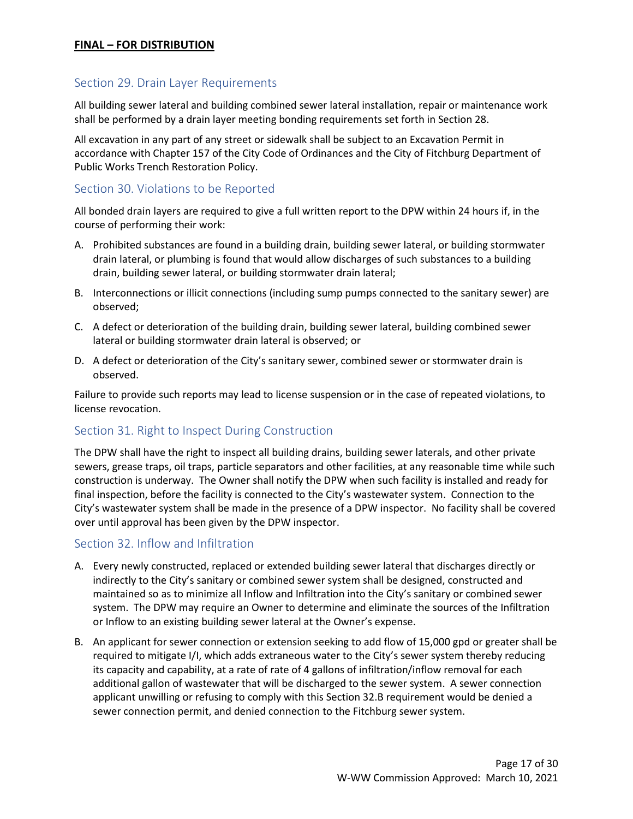#### <span id="page-16-0"></span>Section 29. Drain Layer Requirements

All building sewer lateral and building combined sewer lateral installation, repair or maintenance work shall be performed by a drain layer meeting bonding requirements set forth in Section 28.

All excavation in any part of any street or sidewalk shall be subject to an Excavation Permit in accordance with Chapter 157 of the City Code of Ordinances and the City of Fitchburg Department of Public Works Trench Restoration Policy.

#### <span id="page-16-1"></span>Section 30. Violations to be Reported

All bonded drain layers are required to give a full written report to the DPW within 24 hours if, in the course of performing their work:

- A. Prohibited substances are found in a building drain, building sewer lateral, or building stormwater drain lateral, or plumbing is found that would allow discharges of such substances to a building drain, building sewer lateral, or building stormwater drain lateral;
- B. Interconnections or illicit connections (including sump pumps connected to the sanitary sewer) are observed;
- C. A defect or deterioration of the building drain, building sewer lateral, building combined sewer lateral or building stormwater drain lateral is observed; or
- D. A defect or deterioration of the City's sanitary sewer, combined sewer or stormwater drain is observed.

Failure to provide such reports may lead to license suspension or in the case of repeated violations, to license revocation.

#### <span id="page-16-2"></span>Section 31. Right to Inspect During Construction

The DPW shall have the right to inspect all building drains, building sewer laterals, and other private sewers, grease traps, oil traps, particle separators and other facilities, at any reasonable time while such construction is underway. The Owner shall notify the DPW when such facility is installed and ready for final inspection, before the facility is connected to the City's wastewater system. Connection to the City's wastewater system shall be made in the presence of a DPW inspector. No facility shall be covered over until approval has been given by the DPW inspector.

#### <span id="page-16-3"></span>Section 32. Inflow and Infiltration

- A. Every newly constructed, replaced or extended building sewer lateral that discharges directly or indirectly to the City's sanitary or combined sewer system shall be designed, constructed and maintained so as to minimize all Inflow and Infiltration into the City's sanitary or combined sewer system. The DPW may require an Owner to determine and eliminate the sources of the Infiltration or Inflow to an existing building sewer lateral at the Owner's expense.
- B. An applicant for sewer connection or extension seeking to add flow of 15,000 gpd or greater shall be required to mitigate I/I, which adds extraneous water to the City's sewer system thereby reducing its capacity and capability, at a rate of rate of 4 gallons of infiltration/inflow removal for each additional gallon of wastewater that will be discharged to the sewer system. A sewer connection applicant unwilling or refusing to comply with this Section 32.B requirement would be denied a sewer connection permit, and denied connection to the Fitchburg sewer system.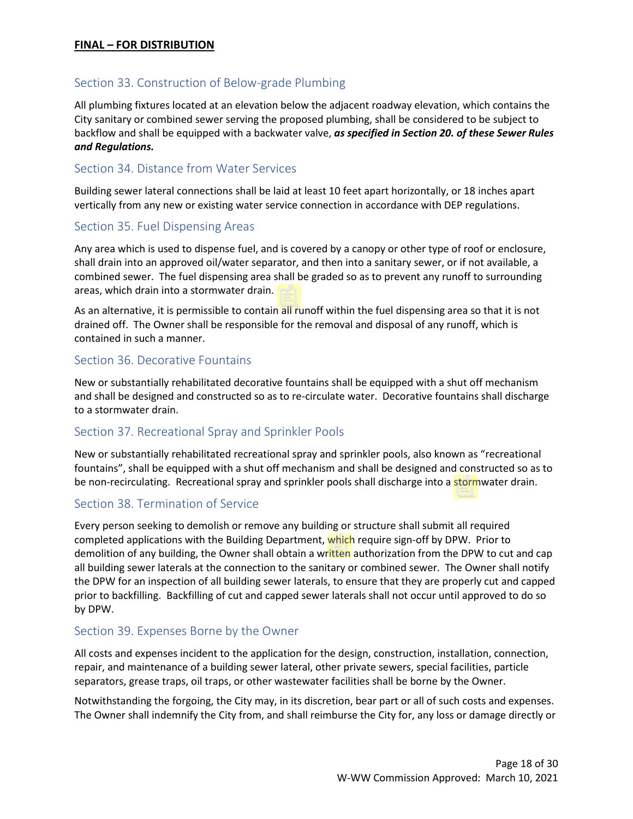# <span id="page-17-0"></span>Section 33. Construction of Below-grade Plumbing

All plumbing fixtures located at an elevation below the adjacent roadway elevation, which contains the City sanitary or combined sewer serving the proposed plumbing, shall be considered to be subject to backflow and shall be equipped with a backwater valve, *as specified in Section 20. of these Sewer Rules and Regulations.*

#### <span id="page-17-1"></span>Section 34. Distance from Water Services

Building sewer lateral connections shall be laid at least 10 feet apart horizontally, or 18 inches apart vertically from any new or existing water service connection in accordance with DEP regulations.

#### <span id="page-17-2"></span>Section 35. Fuel Dispensing Areas

Any area which is used to dispense fuel, and is covered by a canopy or other type of roof or enclosure, shall drain into an approved oil/water separator, and then into a sanitary sewer, or if not available, a combined sewer. The fuel dispensing area shall be graded so as to prevent any runoff to surrounding areas, which drain into a stormwater drain.

As an alternative, it is permissible to contain all runoff within the fuel dispensing area so that it is not drained off. The Owner shall be responsible for the removal and disposal of any runoff, which is contained in such a manner.

#### <span id="page-17-3"></span>Section 36. Decorative Fountains

New or substantially rehabilitated decorative fountains shall be equipped with a shut off mechanism and shall be designed and constructed so as to re-circulate water. Decorative fountains shall discharge to a stormwater drain.

# <span id="page-17-4"></span>Section 37. Recreational Spray and Sprinkler Pools

New or substantially rehabilitated recreational spray and sprinkler pools, also known as "recreational fountains", shall be equipped with a shut off mechanism and shall be designed and constructed so as to be non-recirculating. Recreational spray and sprinkler pools shall discharge into a stormwater drain.

# <span id="page-17-5"></span>Section 38. Termination of Service

Every person seeking to demolish or remove any building or structure shall submit all required completed applications with the Building Department, which require sign-off by DPW. Prior to demolition of any building, the Owner shall obtain a written authorization from the DPW to cut and cap all building sewer laterals at the connection to the sanitary or combined sewer. The Owner shall notify the DPW for an inspection of all building sewer laterals, to ensure that they are properly cut and capped prior to backfilling. Backfilling of cut and capped sewer laterals shall not occur until approved to do so by DPW.

#### <span id="page-17-6"></span>Section 39. Expenses Borne by the Owner

All costs and expenses incident to the application for the design, construction, installation, connection, repair, and maintenance of a building sewer lateral, other private sewers, special facilities, particle separators, grease traps, oil traps, or other wastewater facilities shall be borne by the Owner.

Notwithstanding the forgoing, the City may, in its discretion, bear part or all of such costs and expenses. The Owner shall indemnify the City from, and shall reimburse the City for, any loss or damage directly or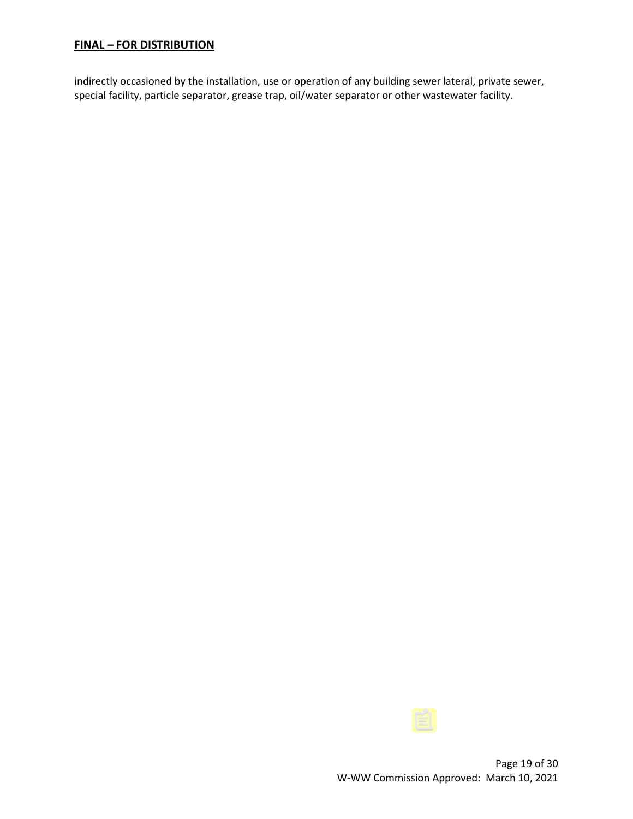indirectly occasioned by the installation, use or operation of any building sewer lateral, private sewer, special facility, particle separator, grease trap, oil/water separator or other wastewater facility.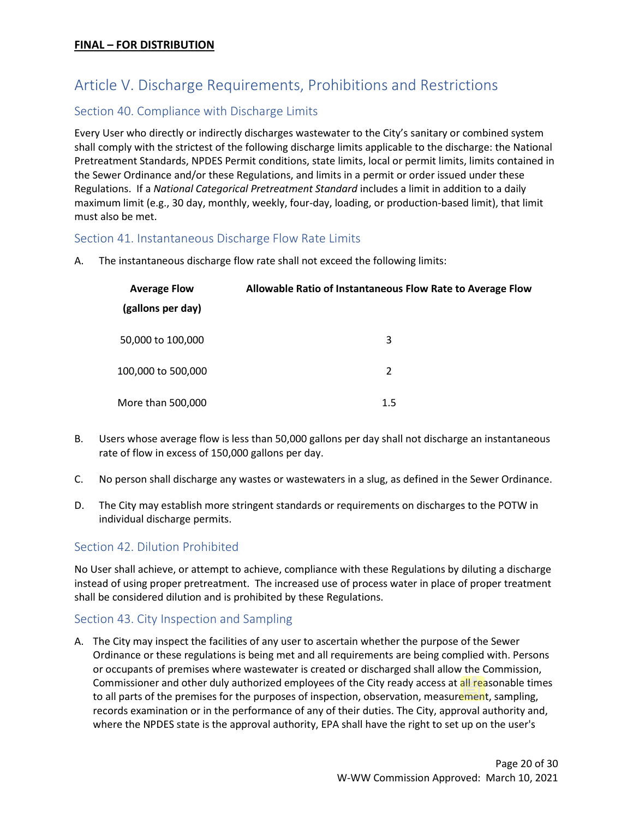# <span id="page-19-0"></span>Article V. Discharge Requirements, Prohibitions and Restrictions

# <span id="page-19-1"></span>Section 40. Compliance with Discharge Limits

Every User who directly or indirectly discharges wastewater to the City's sanitary or combined system shall comply with the strictest of the following discharge limits applicable to the discharge: the National Pretreatment Standards, NPDES Permit conditions, state limits, local or permit limits, limits contained in the Sewer Ordinance and/or these Regulations, and limits in a permit or order issued under these Regulations. If a *National Categorical Pretreatment Standard* includes a limit in addition to a daily maximum limit (e.g., 30 day, monthly, weekly, four-day, loading, or production-based limit), that limit must also be met.

# <span id="page-19-2"></span>Section 41. Instantaneous Discharge Flow Rate Limits

A. The instantaneous discharge flow rate shall not exceed the following limits:

| <b>Average Flow</b> | Allowable Ratio of Instantaneous Flow Rate to Average Flow |
|---------------------|------------------------------------------------------------|
| (gallons per day)   |                                                            |
| 50,000 to 100,000   | 3                                                          |
| 100,000 to 500,000  | $\mathcal{P}$                                              |
| More than 500,000   | 1.5                                                        |

- B. Users whose average flow is less than 50,000 gallons per day shall not discharge an instantaneous rate of flow in excess of 150,000 gallons per day.
- C. No person shall discharge any wastes or wastewaters in a slug, as defined in the Sewer Ordinance.
- D. The City may establish more stringent standards or requirements on discharges to the POTW in individual discharge permits.

#### <span id="page-19-3"></span>Section 42. Dilution Prohibited

No User shall achieve, or attempt to achieve, compliance with these Regulations by diluting a discharge instead of using proper pretreatment. The increased use of process water in place of proper treatment shall be considered dilution and is prohibited by these Regulations.

#### <span id="page-19-4"></span>Section 43. City Inspection and Sampling

A. The City may inspect the facilities of any user to ascertain whether the purpose of the Sewer Ordinance or these regulations is being met and all requirements are being complied with. Persons or occupants of premises where wastewater is created or discharged shall allow the Commission, Commissioner and other duly authorized employees of the City ready access at all reasonable times to all parts of the premises for the purposes of inspection, observation, measurement, sampling, records examination or in the performance of any of their duties. The City, approval authority and, where the NPDES state is the approval authority, EPA shall have the right to set up on the user's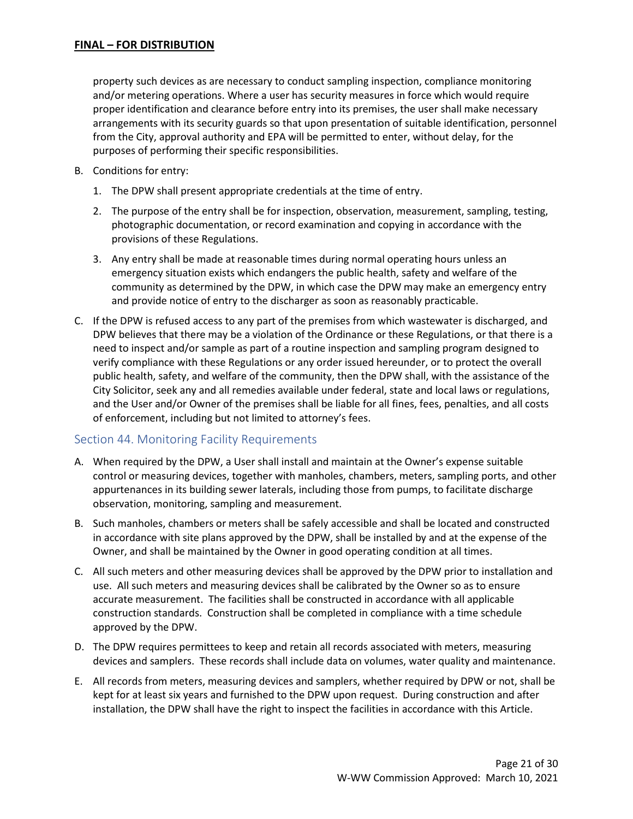property such devices as are necessary to conduct sampling inspection, compliance monitoring and/or metering operations. Where a user has security measures in force which would require proper identification and clearance before entry into its premises, the user shall make necessary arrangements with its security guards so that upon presentation of suitable identification, personnel from the City, approval authority and EPA will be permitted to enter, without delay, for the purposes of performing their specific responsibilities.

- B. Conditions for entry:
	- 1. The DPW shall present appropriate credentials at the time of entry.
	- 2. The purpose of the entry shall be for inspection, observation, measurement, sampling, testing, photographic documentation, or record examination and copying in accordance with the provisions of these Regulations.
	- 3. Any entry shall be made at reasonable times during normal operating hours unless an emergency situation exists which endangers the public health, safety and welfare of the community as determined by the DPW, in which case the DPW may make an emergency entry and provide notice of entry to the discharger as soon as reasonably practicable.
- C. If the DPW is refused access to any part of the premises from which wastewater is discharged, and DPW believes that there may be a violation of the Ordinance or these Regulations, or that there is a need to inspect and/or sample as part of a routine inspection and sampling program designed to verify compliance with these Regulations or any order issued hereunder, or to protect the overall public health, safety, and welfare of the community, then the DPW shall, with the assistance of the City Solicitor, seek any and all remedies available under federal, state and local laws or regulations, and the User and/or Owner of the premises shall be liable for all fines, fees, penalties, and all costs of enforcement, including but not limited to attorney's fees.

# <span id="page-20-0"></span>Section 44. Monitoring Facility Requirements

- A. When required by the DPW, a User shall install and maintain at the Owner's expense suitable control or measuring devices, together with manholes, chambers, meters, sampling ports, and other appurtenances in its building sewer laterals, including those from pumps, to facilitate discharge observation, monitoring, sampling and measurement.
- B. Such manholes, chambers or meters shall be safely accessible and shall be located and constructed in accordance with site plans approved by the DPW, shall be installed by and at the expense of the Owner, and shall be maintained by the Owner in good operating condition at all times.
- C. All such meters and other measuring devices shall be approved by the DPW prior to installation and use. All such meters and measuring devices shall be calibrated by the Owner so as to ensure accurate measurement. The facilities shall be constructed in accordance with all applicable construction standards. Construction shall be completed in compliance with a time schedule approved by the DPW.
- D. The DPW requires permittees to keep and retain all records associated with meters, measuring devices and samplers. These records shall include data on volumes, water quality and maintenance.
- E. All records from meters, measuring devices and samplers, whether required by DPW or not, shall be kept for at least six years and furnished to the DPW upon request. During construction and after installation, the DPW shall have the right to inspect the facilities in accordance with this Article.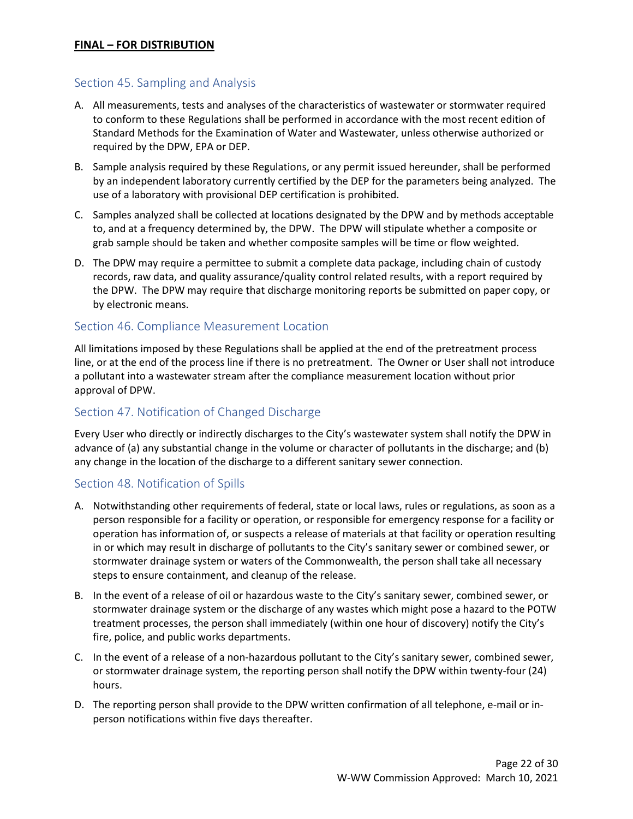# <span id="page-21-0"></span>Section 45. Sampling and Analysis

- A. All measurements, tests and analyses of the characteristics of wastewater or stormwater required to conform to these Regulations shall be performed in accordance with the most recent edition of Standard Methods for the Examination of Water and Wastewater, unless otherwise authorized or required by the DPW, EPA or DEP.
- B. Sample analysis required by these Regulations, or any permit issued hereunder, shall be performed by an independent laboratory currently certified by the DEP for the parameters being analyzed. The use of a laboratory with provisional DEP certification is prohibited.
- C. Samples analyzed shall be collected at locations designated by the DPW and by methods acceptable to, and at a frequency determined by, the DPW. The DPW will stipulate whether a composite or grab sample should be taken and whether composite samples will be time or flow weighted.
- D. The DPW may require a permittee to submit a complete data package, including chain of custody records, raw data, and quality assurance/quality control related results, with a report required by the DPW. The DPW may require that discharge monitoring reports be submitted on paper copy, or by electronic means.

#### <span id="page-21-1"></span>Section 46. Compliance Measurement Location

All limitations imposed by these Regulations shall be applied at the end of the pretreatment process line, or at the end of the process line if there is no pretreatment. The Owner or User shall not introduce a pollutant into a wastewater stream after the compliance measurement location without prior approval of DPW.

#### <span id="page-21-2"></span>Section 47. Notification of Changed Discharge

Every User who directly or indirectly discharges to the City's wastewater system shall notify the DPW in advance of (a) any substantial change in the volume or character of pollutants in the discharge; and (b) any change in the location of the discharge to a different sanitary sewer connection.

#### <span id="page-21-3"></span>Section 48. Notification of Spills

- A. Notwithstanding other requirements of federal, state or local laws, rules or regulations, as soon as a person responsible for a facility or operation, or responsible for emergency response for a facility or operation has information of, or suspects a release of materials at that facility or operation resulting in or which may result in discharge of pollutants to the City's sanitary sewer or combined sewer, or stormwater drainage system or waters of the Commonwealth, the person shall take all necessary steps to ensure containment, and cleanup of the release.
- B. In the event of a release of oil or hazardous waste to the City's sanitary sewer, combined sewer, or stormwater drainage system or the discharge of any wastes which might pose a hazard to the POTW treatment processes, the person shall immediately (within one hour of discovery) notify the City's fire, police, and public works departments.
- C. In the event of a release of a non-hazardous pollutant to the City's sanitary sewer, combined sewer, or stormwater drainage system, the reporting person shall notify the DPW within twenty-four (24) hours.
- D. The reporting person shall provide to the DPW written confirmation of all telephone, e-mail or inperson notifications within five days thereafter.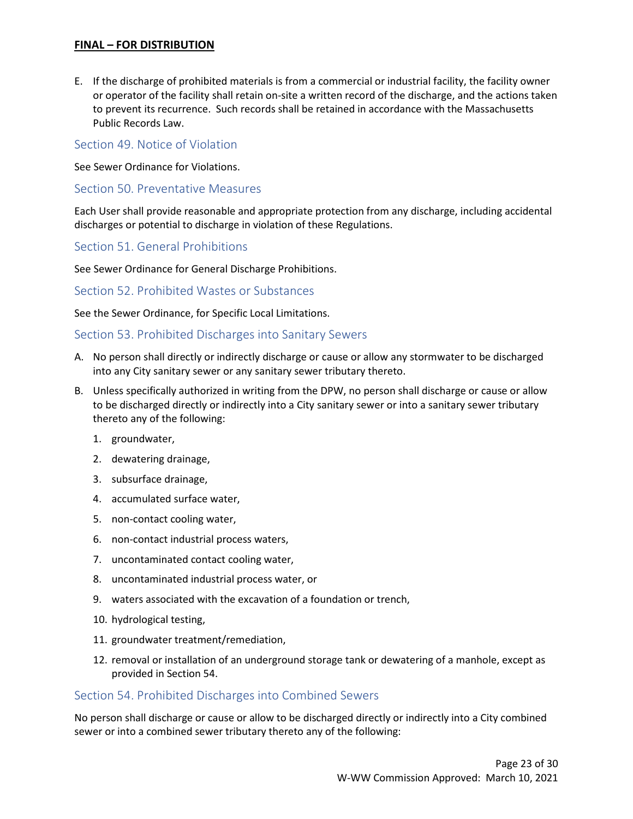E. If the discharge of prohibited materials is from a commercial or industrial facility, the facility owner or operator of the facility shall retain on-site a written record of the discharge, and the actions taken to prevent its recurrence. Such records shall be retained in accordance with the Massachusetts Public Records Law.

<span id="page-22-0"></span>Section 49. Notice of Violation

See Sewer Ordinance for Violations.

<span id="page-22-1"></span>Section 50. Preventative Measures

Each User shall provide reasonable and appropriate protection from any discharge, including accidental discharges or potential to discharge in violation of these Regulations.

<span id="page-22-2"></span>Section 51. General Prohibitions

See Sewer Ordinance for General Discharge Prohibitions.

<span id="page-22-3"></span>Section 52. Prohibited Wastes or Substances

See the Sewer Ordinance, for Specific Local Limitations.

#### <span id="page-22-4"></span>Section 53. Prohibited Discharges into Sanitary Sewers

- A. No person shall directly or indirectly discharge or cause or allow any stormwater to be discharged into any City sanitary sewer or any sanitary sewer tributary thereto.
- B. Unless specifically authorized in writing from the DPW, no person shall discharge or cause or allow to be discharged directly or indirectly into a City sanitary sewer or into a sanitary sewer tributary thereto any of the following:
	- 1. groundwater,
	- 2. dewatering drainage,
	- 3. subsurface drainage,
	- 4. accumulated surface water,
	- 5. non-contact cooling water,
	- 6. non-contact industrial process waters,
	- 7. uncontaminated contact cooling water,
	- 8. uncontaminated industrial process water, or
	- 9. waters associated with the excavation of a foundation or trench,
	- 10. hydrological testing,
	- 11. groundwater treatment/remediation,
	- 12. removal or installation of an underground storage tank or dewatering of a manhole, except as provided in Section 54.

#### <span id="page-22-5"></span>Section 54. Prohibited Discharges into Combined Sewers

No person shall discharge or cause or allow to be discharged directly or indirectly into a City combined sewer or into a combined sewer tributary thereto any of the following: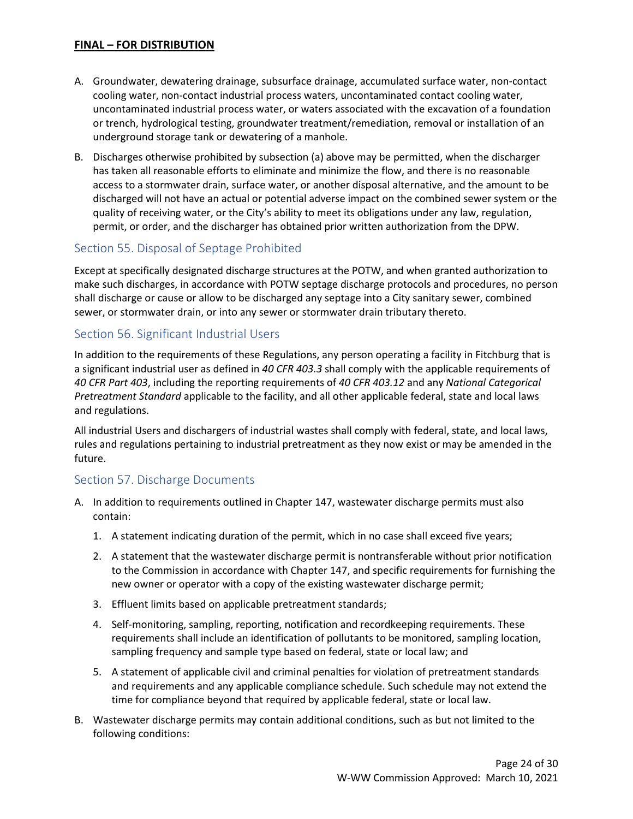- A. Groundwater, dewatering drainage, subsurface drainage, accumulated surface water, non-contact cooling water, non-contact industrial process waters, uncontaminated contact cooling water, uncontaminated industrial process water, or waters associated with the excavation of a foundation or trench, hydrological testing, groundwater treatment/remediation, removal or installation of an underground storage tank or dewatering of a manhole.
- B. Discharges otherwise prohibited by subsection (a) above may be permitted, when the discharger has taken all reasonable efforts to eliminate and minimize the flow, and there is no reasonable access to a stormwater drain, surface water, or another disposal alternative, and the amount to be discharged will not have an actual or potential adverse impact on the combined sewer system or the quality of receiving water, or the City's ability to meet its obligations under any law, regulation, permit, or order, and the discharger has obtained prior written authorization from the DPW.

# <span id="page-23-0"></span>Section 55. Disposal of Septage Prohibited

Except at specifically designated discharge structures at the POTW, and when granted authorization to make such discharges, in accordance with POTW septage discharge protocols and procedures, no person shall discharge or cause or allow to be discharged any septage into a City sanitary sewer, combined sewer, or stormwater drain, or into any sewer or stormwater drain tributary thereto.

#### Section 56. Significant Industrial Users

In addition to the requirements of these Regulations, any person operating a facility in Fitchburg that is a significant industrial user as defined in *40 CFR 403.3* shall comply with the applicable requirements of *40 CFR Part 403*, including the reporting requirements of *40 CFR 403.12* and any *National Categorical Pretreatment Standard* applicable to the facility, and all other applicable federal, state and local laws and regulations.

All industrial Users and dischargers of industrial wastes shall comply with federal, state, and local laws, rules and regulations pertaining to industrial pretreatment as they now exist or may be amended in the future.

#### <span id="page-23-1"></span>Section 57. Discharge Documents

- A. In addition to requirements outlined in Chapter 147, wastewater discharge permits must also contain:
	- 1. A statement indicating duration of the permit, which in no case shall exceed five years;
	- 2. A statement that the wastewater discharge permit is nontransferable without prior notification to the Commission in accordance with Chapter 147, and specific requirements for furnishing the new owner or operator with a copy of the existing wastewater discharge permit;
	- 3. Effluent limits based on applicable pretreatment standards;
	- 4. Self-monitoring, sampling, reporting, notification and recordkeeping requirements. These requirements shall include an identification of pollutants to be monitored, sampling location, sampling frequency and sample type based on federal, state or local law; and
	- 5. A statement of applicable civil and criminal penalties for violation of pretreatment standards and requirements and any applicable compliance schedule. Such schedule may not extend the time for compliance beyond that required by applicable federal, state or local law.
- B. Wastewater discharge permits may contain additional conditions, such as but not limited to the following conditions: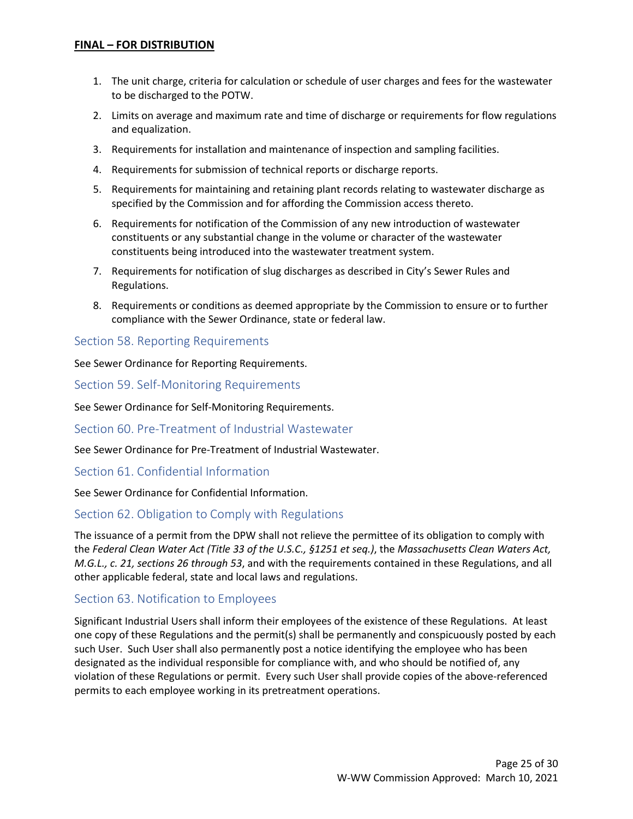- 1. The unit charge, criteria for calculation or schedule of user charges and fees for the wastewater to be discharged to the POTW.
- 2. Limits on average and maximum rate and time of discharge or requirements for flow regulations and equalization.
- 3. Requirements for installation and maintenance of inspection and sampling facilities.
- 4. Requirements for submission of technical reports or discharge reports.
- 5. Requirements for maintaining and retaining plant records relating to wastewater discharge as specified by the Commission and for affording the Commission access thereto.
- 6. Requirements for notification of the Commission of any new introduction of wastewater constituents or any substantial change in the volume or character of the wastewater constituents being introduced into the wastewater treatment system.
- 7. Requirements for notification of slug discharges as described in City's Sewer Rules and Regulations.
- 8. Requirements or conditions as deemed appropriate by the Commission to ensure or to further compliance with the Sewer Ordinance, state or federal law.

#### <span id="page-24-0"></span>Section 58. Reporting Requirements

See Sewer Ordinance for Reporting Requirements.

<span id="page-24-1"></span>Section 59. Self-Monitoring Requirements

See Sewer Ordinance for Self-Monitoring Requirements.

Section 60. Pre-Treatment of Industrial Wastewater

See Sewer Ordinance for Pre-Treatment of Industrial Wastewater.

#### Section 61. Confidential Information

See Sewer Ordinance for Confidential Information.

#### Section 62. Obligation to Comply with Regulations

The issuance of a permit from the DPW shall not relieve the permittee of its obligation to comply with the *Federal Clean Water Act (Title 33 of the U.S.C., §1251 et seq.)*, the *Massachusetts Clean Waters Act, M.G.L., c. 21, sections 26 through 53*, and with the requirements contained in these Regulations, and all other applicable federal, state and local laws and regulations.

#### <span id="page-24-2"></span>Section 63. Notification to Employees

Significant Industrial Users shall inform their employees of the existence of these Regulations. At least one copy of these Regulations and the permit(s) shall be permanently and conspicuously posted by each such User. Such User shall also permanently post a notice identifying the employee who has been designated as the individual responsible for compliance with, and who should be notified of, any violation of these Regulations or permit. Every such User shall provide copies of the above-referenced permits to each employee working in its pretreatment operations.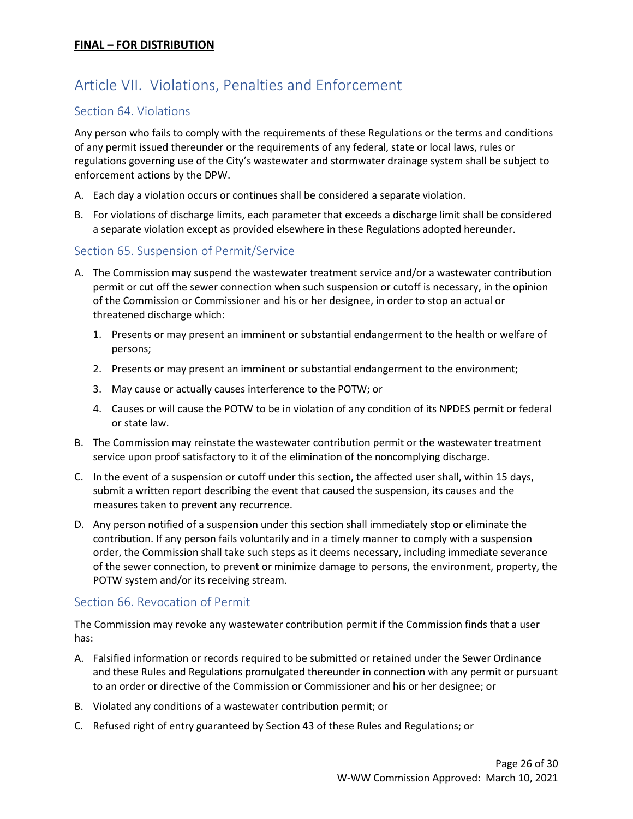# <span id="page-25-0"></span>Article VII. Violations, Penalties and Enforcement

#### <span id="page-25-1"></span>Section 64. Violations

Any person who fails to comply with the requirements of these Regulations or the terms and conditions of any permit issued thereunder or the requirements of any federal, state or local laws, rules or regulations governing use of the City's wastewater and stormwater drainage system shall be subject to enforcement actions by the DPW.

- A. Each day a violation occurs or continues shall be considered a separate violation.
- B. For violations of discharge limits, each parameter that exceeds a discharge limit shall be considered a separate violation except as provided elsewhere in these Regulations adopted hereunder.

#### <span id="page-25-2"></span>Section 65. Suspension of Permit/Service

- A. The Commission may suspend the wastewater treatment service and/or a wastewater contribution permit or cut off the sewer connection when such suspension or cutoff is necessary, in the opinion of the Commission or Commissioner and his or her designee, in order to stop an actual or threatened discharge which:
	- 1. Presents or may present an imminent or substantial endangerment to the health or welfare of persons;
	- 2. Presents or may present an imminent or substantial endangerment to the environment;
	- 3. May cause or actually causes interference to the POTW; or
	- 4. Causes or will cause the POTW to be in violation of any condition of its NPDES permit or federal or state law.
- B. The Commission may reinstate the wastewater contribution permit or the wastewater treatment service upon proof satisfactory to it of the elimination of the noncomplying discharge.
- C. In the event of a suspension or cutoff under this section, the affected user shall, within 15 days, submit a written report describing the event that caused the suspension, its causes and the measures taken to prevent any recurrence.
- D. Any person notified of a suspension under this section shall immediately stop or eliminate the contribution. If any person fails voluntarily and in a timely manner to comply with a suspension order, the Commission shall take such steps as it deems necessary, including immediate severance of the sewer connection, to prevent or minimize damage to persons, the environment, property, the POTW system and/or its receiving stream.

#### <span id="page-25-3"></span>Section 66. Revocation of Permit

The Commission may revoke any wastewater contribution permit if the Commission finds that a user has:

- A. Falsified information or records required to be submitted or retained under the Sewer Ordinance and these Rules and Regulations promulgated thereunder in connection with any permit or pursuant to an order or directive of the Commission or Commissioner and his or her designee; or
- B. Violated any conditions of a wastewater contribution permit; or
- C. Refused right of entry guaranteed by Section 43 of these Rules and Regulations; or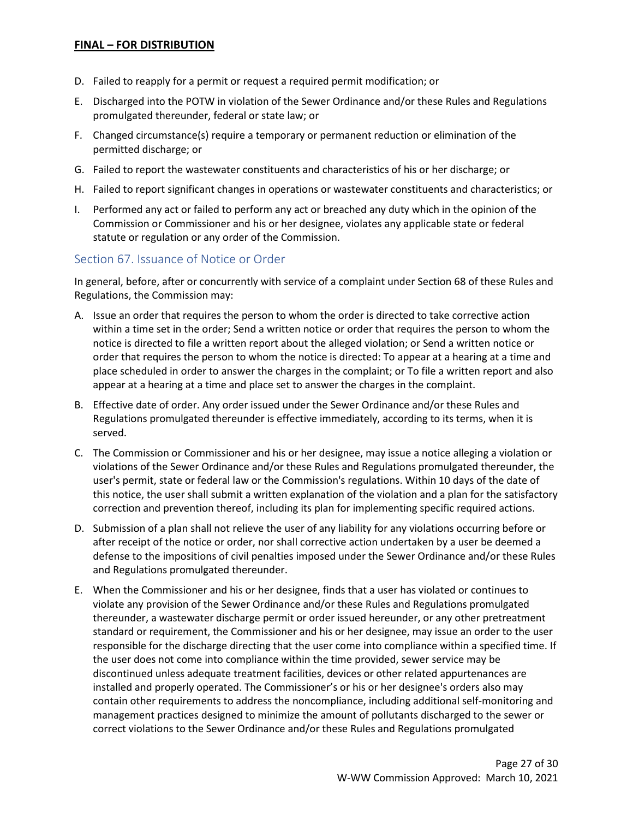- D. Failed to reapply for a permit or request a required permit modification; or
- E. Discharged into the POTW in violation of the Sewer Ordinance and/or these Rules and Regulations promulgated thereunder, federal or state law; or
- F. Changed circumstance(s) require a temporary or permanent reduction or elimination of the permitted discharge; or
- G. Failed to report the wastewater constituents and characteristics of his or her discharge; or
- H. Failed to report significant changes in operations or wastewater constituents and characteristics; or
- I. Performed any act or failed to perform any act or breached any duty which in the opinion of the Commission or Commissioner and his or her designee, violates any applicable state or federal statute or regulation or any order of the Commission.

#### <span id="page-26-0"></span>Section 67. Issuance of Notice or Order

In general, before, after or concurrently with service of a complaint under Section 68 of these Rules and Regulations, the Commission may:

- A. Issue an order that requires the person to whom the order is directed to take corrective action within a time set in the order; Send a written notice or order that requires the person to whom the notice is directed to file a written report about the alleged violation; or Send a written notice or order that requires the person to whom the notice is directed: To appear at a hearing at a time and place scheduled in order to answer the charges in the complaint; or To file a written report and also appear at a hearing at a time and place set to answer the charges in the complaint.
- B. Effective date of order. Any order issued under the Sewer Ordinance and/or these Rules and Regulations promulgated thereunder is effective immediately, according to its terms, when it is served.
- C. The Commission or Commissioner and his or her designee, may issue a notice alleging a violation or violations of the Sewer Ordinance and/or these Rules and Regulations promulgated thereunder, the user's permit, state or federal law or the Commission's regulations. Within 10 days of the date of this notice, the user shall submit a written explanation of the violation and a plan for the satisfactory correction and prevention thereof, including its plan for implementing specific required actions.
- D. Submission of a plan shall not relieve the user of any liability for any violations occurring before or after receipt of the notice or order, nor shall corrective action undertaken by a user be deemed a defense to the impositions of civil penalties imposed under the Sewer Ordinance and/or these Rules and Regulations promulgated thereunder.
- E. When the Commissioner and his or her designee, finds that a user has violated or continues to violate any provision of the Sewer Ordinance and/or these Rules and Regulations promulgated thereunder, a wastewater discharge permit or order issued hereunder, or any other pretreatment standard or requirement, the Commissioner and his or her designee, may issue an order to the user responsible for the discharge directing that the user come into compliance within a specified time. If the user does not come into compliance within the time provided, sewer service may be discontinued unless adequate treatment facilities, devices or other related appurtenances are installed and properly operated. The Commissioner's or his or her designee's orders also may contain other requirements to address the noncompliance, including additional self-monitoring and management practices designed to minimize the amount of pollutants discharged to the sewer or correct violations to the Sewer Ordinance and/or these Rules and Regulations promulgated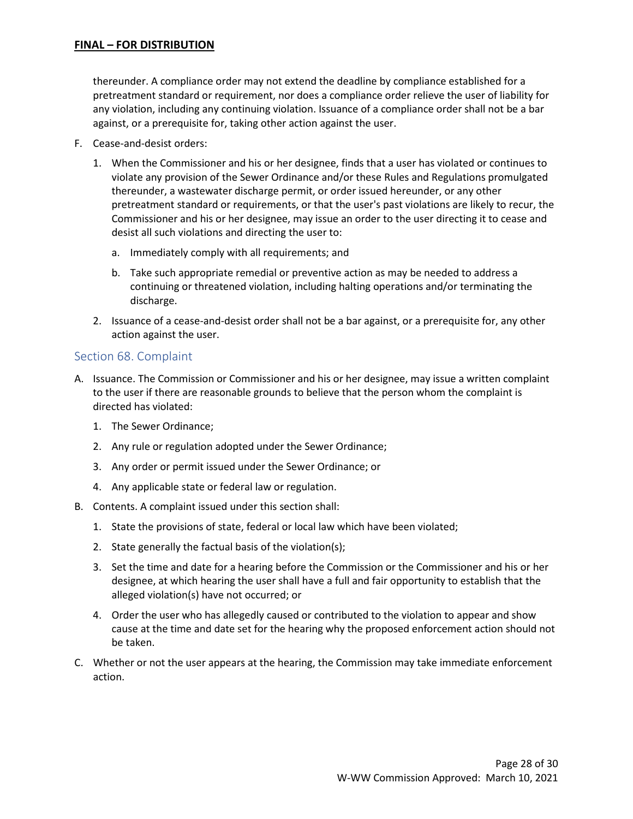thereunder. A compliance order may not extend the deadline by compliance established for a pretreatment standard or requirement, nor does a compliance order relieve the user of liability for any violation, including any continuing violation. Issuance of a compliance order shall not be a bar against, or a prerequisite for, taking other action against the user.

- F. Cease-and-desist orders:
	- 1. When the Commissioner and his or her designee, finds that a user has violated or continues to violate any provision of the Sewer Ordinance and/or these Rules and Regulations promulgated thereunder, a wastewater discharge permit, or order issued hereunder, or any other pretreatment standard or requirements, or that the user's past violations are likely to recur, the Commissioner and his or her designee, may issue an order to the user directing it to cease and desist all such violations and directing the user to:
		- a. Immediately comply with all requirements; and
		- b. Take such appropriate remedial or preventive action as may be needed to address a continuing or threatened violation, including halting operations and/or terminating the discharge.
	- 2. Issuance of a cease-and-desist order shall not be a bar against, or a prerequisite for, any other action against the user.

#### <span id="page-27-0"></span>Section 68. Complaint

- A. Issuance. The Commission or Commissioner and his or her designee, may issue a written complaint to the user if there are reasonable grounds to believe that the person whom the complaint is directed has violated:
	- 1. The Sewer Ordinance;
	- 2. Any rule or regulation adopted under the Sewer Ordinance;
	- 3. Any order or permit issued under the Sewer Ordinance; or
	- 4. Any applicable state or federal law or regulation.
- B. Contents. A complaint issued under this section shall:
	- 1. State the provisions of state, federal or local law which have been violated;
	- 2. State generally the factual basis of the violation(s);
	- 3. Set the time and date for a hearing before the Commission or the Commissioner and his or her designee, at which hearing the user shall have a full and fair opportunity to establish that the alleged violation(s) have not occurred; or
	- 4. Order the user who has allegedly caused or contributed to the violation to appear and show cause at the time and date set for the hearing why the proposed enforcement action should not be taken.
- C. Whether or not the user appears at the hearing, the Commission may take immediate enforcement action.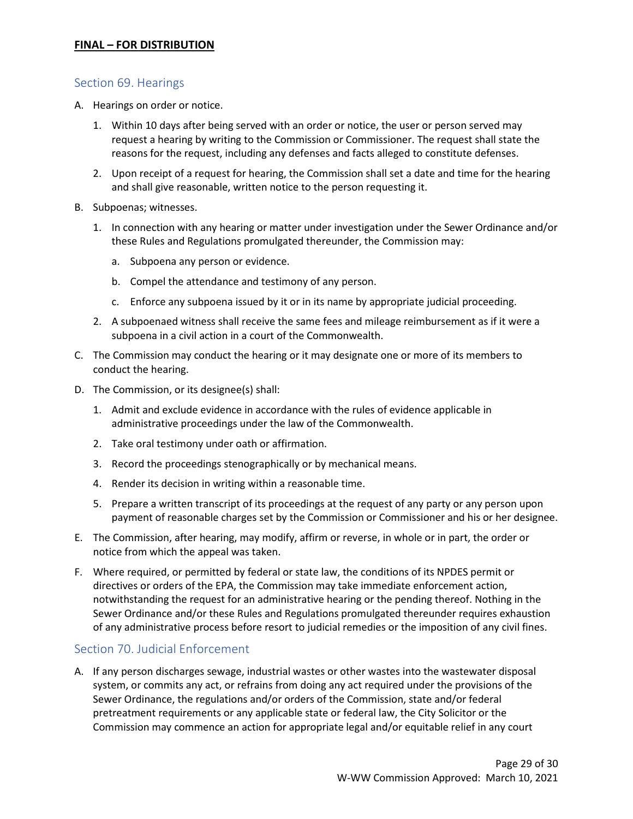#### <span id="page-28-0"></span>Section 69. Hearings

- A. Hearings on order or notice.
	- 1. Within 10 days after being served with an order or notice, the user or person served may request a hearing by writing to the Commission or Commissioner. The request shall state the reasons for the request, including any defenses and facts alleged to constitute defenses.
	- 2. Upon receipt of a request for hearing, the Commission shall set a date and time for the hearing and shall give reasonable, written notice to the person requesting it.
- B. Subpoenas; witnesses.
	- 1. In connection with any hearing or matter under investigation under the Sewer Ordinance and/or these Rules and Regulations promulgated thereunder, the Commission may:
		- a. Subpoena any person or evidence.
		- b. Compel the attendance and testimony of any person.
		- c. Enforce any subpoena issued by it or in its name by appropriate judicial proceeding.
	- 2. A subpoenaed witness shall receive the same fees and mileage reimbursement as if it were a subpoena in a civil action in a court of the Commonwealth.
- C. The Commission may conduct the hearing or it may designate one or more of its members to conduct the hearing.
- D. The Commission, or its designee(s) shall:
	- 1. Admit and exclude evidence in accordance with the rules of evidence applicable in administrative proceedings under the law of the Commonwealth.
	- 2. Take oral testimony under oath or affirmation.
	- 3. Record the proceedings stenographically or by mechanical means.
	- 4. Render its decision in writing within a reasonable time.
	- 5. Prepare a written transcript of its proceedings at the request of any party or any person upon payment of reasonable charges set by the Commission or Commissioner and his or her designee.
- E. The Commission, after hearing, may modify, affirm or reverse, in whole or in part, the order or notice from which the appeal was taken.
- F. Where required, or permitted by federal or state law, the conditions of its NPDES permit or directives or orders of the EPA, the Commission may take immediate enforcement action, notwithstanding the request for an administrative hearing or the pending thereof. Nothing in the Sewer Ordinance and/or these Rules and Regulations promulgated thereunder requires exhaustion of any administrative process before resort to judicial remedies or the imposition of any civil fines.

# <span id="page-28-1"></span>Section 70. Judicial Enforcement

A. If any person discharges sewage, industrial wastes or other wastes into the wastewater disposal system, or commits any act, or refrains from doing any act required under the provisions of the Sewer Ordinance, the regulations and/or orders of the Commission, state and/or federal pretreatment requirements or any applicable state or federal law, the City Solicitor or the Commission may commence an action for appropriate legal and/or equitable relief in any court